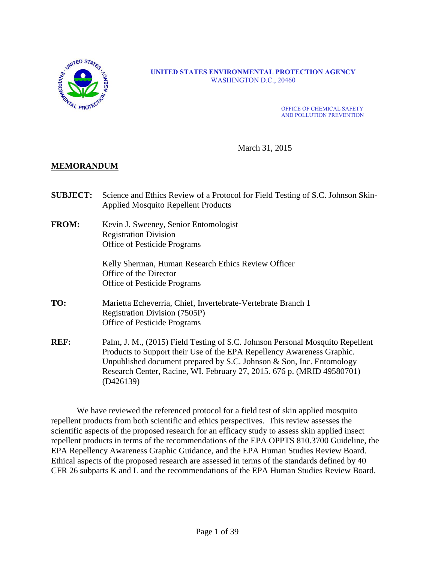

#### **UNITED STATES ENVIRONMENTAL PROTECTION AGENCY** WASHINGTON D.C., 20460

OFFICE OF CHEMICAL SAFETY AND POLLUTION PREVENTION

March 31, 2015

## **MEMORANDUM**

- **SUBJECT:** Science and Ethics Review of a Protocol for Field Testing of S.C. Johnson Skin-Applied Mosquito Repellent Products
- **FROM:** Kevin J. Sweeney, Senior Entomologist Registration Division Office of Pesticide Programs

Kelly Sherman, Human Research Ethics Review Officer Office of the Director Office of Pesticide Programs

- **TO:** Marietta Echeverria, Chief, Invertebrate-Vertebrate Branch 1 Registration Division (7505P) Office of Pesticide Programs
- **REF:** Palm, J. M., (2015) Field Testing of S.C. Johnson Personal Mosquito Repellent Products to Support their Use of the EPA Repellency Awareness Graphic. Unpublished document prepared by S.C. Johnson & Son, Inc. Entomology Research Center, Racine, WI. February 27, 2015. 676 p. (MRID 49580701) (D426139)

We have reviewed the referenced protocol for a field test of skin applied mosquito repellent products from both scientific and ethics perspectives. This review assesses the scientific aspects of the proposed research for an efficacy study to assess skin applied insect repellent products in terms of the recommendations of the EPA OPPTS 810.3700 Guideline, the EPA Repellency Awareness Graphic Guidance, and the EPA Human Studies Review Board. Ethical aspects of the proposed research are assessed in terms of the standards defined by 40 CFR 26 subparts K and L and the recommendations of the EPA Human Studies Review Board.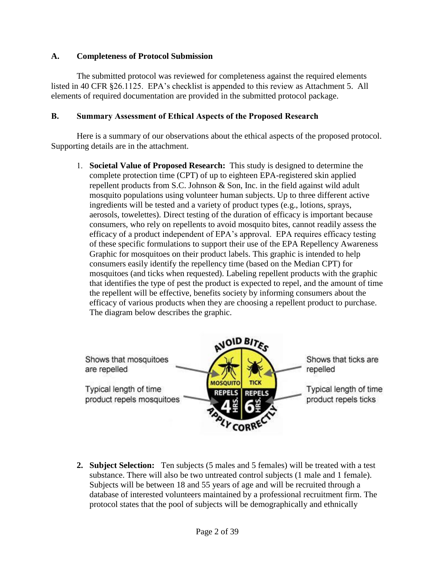## **A. Completeness of Protocol Submission**

The submitted protocol was reviewed for completeness against the required elements listed in 40 CFR §26.1125. EPA's checklist is appended to this review as Attachment 5. All elements of required documentation are provided in the submitted protocol package.

## **B. Summary Assessment of Ethical Aspects of the Proposed Research**

Here is a summary of our observations about the ethical aspects of the proposed protocol. Supporting details are in the attachment.

1. **Societal Value of Proposed Research:** This study is designed to determine the complete protection time (CPT) of up to eighteen EPA-registered skin applied repellent products from S.C. Johnson & Son, Inc. in the field against wild adult mosquito populations using volunteer human subjects. Up to three different active ingredients will be tested and a variety of product types (e.g., lotions, sprays, aerosols, towelettes). Direct testing of the duration of efficacy is important because consumers, who rely on repellents to avoid mosquito bites, cannot readily assess the efficacy of a product independent of EPA's approval. EPA requires efficacy testing of these specific formulations to support their use of the EPA Repellency Awareness Graphic for mosquitoes on their product labels. This graphic is intended to help consumers easily identify the repellency time (based on the Median CPT) for mosquitoes (and ticks when requested). Labeling repellent products with the graphic that identifies the type of pest the product is expected to repel, and the amount of time the repellent will be effective, benefits society by informing consumers about the efficacy of various products when they are choosing a repellent product to purchase. The diagram below describes the graphic.



**2. Subject Selection:** Ten subjects (5 males and 5 females) will be treated with a test substance. There will also be two untreated control subjects (1 male and 1 female). Subjects will be between 18 and 55 years of age and will be recruited through a database of interested volunteers maintained by a professional recruitment firm. The protocol states that the pool of subjects will be demographically and ethnically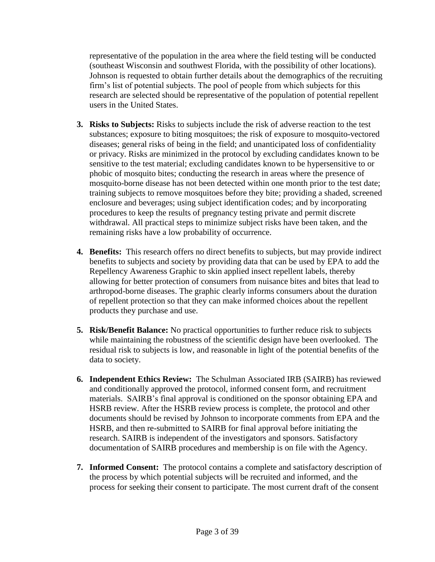representative of the population in the area where the field testing will be conducted (southeast Wisconsin and southwest Florida, with the possibility of other locations). Johnson is requested to obtain further details about the demographics of the recruiting firm's list of potential subjects. The pool of people from which subjects for this research are selected should be representative of the population of potential repellent users in the United States.

- **3. Risks to Subjects:** Risks to subjects include the risk of adverse reaction to the test substances; exposure to biting mosquitoes; the risk of exposure to mosquito-vectored diseases; general risks of being in the field; and unanticipated loss of confidentiality or privacy. Risks are minimized in the protocol by excluding candidates known to be sensitive to the test material; excluding candidates known to be hypersensitive to or phobic of mosquito bites; conducting the research in areas where the presence of mosquito-borne disease has not been detected within one month prior to the test date; training subjects to remove mosquitoes before they bite; providing a shaded, screened enclosure and beverages; using subject identification codes; and by incorporating procedures to keep the results of pregnancy testing private and permit discrete withdrawal. All practical steps to minimize subject risks have been taken, and the remaining risks have a low probability of occurrence.
- **4. Benefits:** This research offers no direct benefits to subjects, but may provide indirect benefits to subjects and society by providing data that can be used by EPA to add the Repellency Awareness Graphic to skin applied insect repellent labels, thereby allowing for better protection of consumers from nuisance bites and bites that lead to arthropod-borne diseases. The graphic clearly informs consumers about the duration of repellent protection so that they can make informed choices about the repellent products they purchase and use.
- **5. Risk/Benefit Balance:** No practical opportunities to further reduce risk to subjects while maintaining the robustness of the scientific design have been overlooked. The residual risk to subjects is low, and reasonable in light of the potential benefits of the data to society.
- **6. Independent Ethics Review:** The Schulman Associated IRB (SAIRB) has reviewed and conditionally approved the protocol, informed consent form, and recruitment materials. SAIRB's final approval is conditioned on the sponsor obtaining EPA and HSRB review. After the HSRB review process is complete, the protocol and other documents should be revised by Johnson to incorporate comments from EPA and the HSRB, and then re-submitted to SAIRB for final approval before initiating the research. SAIRB is independent of the investigators and sponsors. Satisfactory documentation of SAIRB procedures and membership is on file with the Agency.
- **7. Informed Consent:** The protocol contains a complete and satisfactory description of the process by which potential subjects will be recruited and informed, and the process for seeking their consent to participate. The most current draft of the consent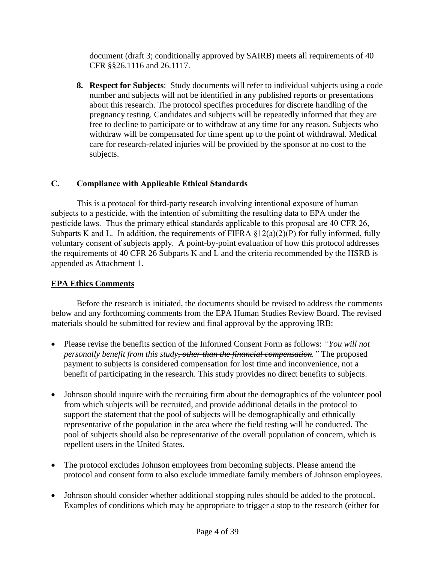document (draft 3; conditionally approved by SAIRB) meets all requirements of 40 CFR §§26.1116 and 26.1117.

**8. Respect for Subjects**: Study documents will refer to individual subjects using a code number and subjects will not be identified in any published reports or presentations about this research. The protocol specifies procedures for discrete handling of the pregnancy testing. Candidates and subjects will be repeatedly informed that they are free to decline to participate or to withdraw at any time for any reason. Subjects who withdraw will be compensated for time spent up to the point of withdrawal. Medical care for research-related injuries will be provided by the sponsor at no cost to the subjects.

# **C. Compliance with Applicable Ethical Standards**

This is a protocol for third-party research involving intentional exposure of human subjects to a pesticide, with the intention of submitting the resulting data to EPA under the pesticide laws. Thus the primary ethical standards applicable to this proposal are 40 CFR 26, Subparts K and L. In addition, the requirements of FIFRA  $\S 12(a)(2)(P)$  for fully informed, fully voluntary consent of subjects apply. A point-by-point evaluation of how this protocol addresses the requirements of 40 CFR 26 Subparts K and L and the criteria recommended by the HSRB is appended as Attachment 1.

# **EPA Ethics Comments**

Before the research is initiated, the documents should be revised to address the comments below and any forthcoming comments from the EPA Human Studies Review Board. The revised materials should be submitted for review and final approval by the approving IRB:

- Please revise the benefits section of the Informed Consent Form as follows: *"You will not personally benefit from this study, other than the financial compensation."* The proposed payment to subjects is considered compensation for lost time and inconvenience, not a benefit of participating in the research. This study provides no direct benefits to subjects.
- Johnson should inquire with the recruiting firm about the demographics of the volunteer pool from which subjects will be recruited, and provide additional details in the protocol to support the statement that the pool of subjects will be demographically and ethnically representative of the population in the area where the field testing will be conducted. The pool of subjects should also be representative of the overall population of concern, which is repellent users in the United States.
- The protocol excludes Johnson employees from becoming subjects. Please amend the protocol and consent form to also exclude immediate family members of Johnson employees.
- Johnson should consider whether additional stopping rules should be added to the protocol. Examples of conditions which may be appropriate to trigger a stop to the research (either for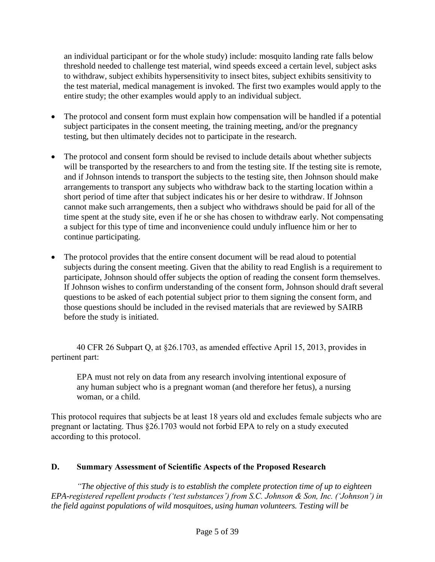an individual participant or for the whole study) include: mosquito landing rate falls below threshold needed to challenge test material, wind speeds exceed a certain level, subject asks to withdraw, subject exhibits hypersensitivity to insect bites, subject exhibits sensitivity to the test material, medical management is invoked. The first two examples would apply to the entire study; the other examples would apply to an individual subject.

- The protocol and consent form must explain how compensation will be handled if a potential subject participates in the consent meeting, the training meeting, and/or the pregnancy testing, but then ultimately decides not to participate in the research.
- The protocol and consent form should be revised to include details about whether subjects will be transported by the researchers to and from the testing site. If the testing site is remote, and if Johnson intends to transport the subjects to the testing site, then Johnson should make arrangements to transport any subjects who withdraw back to the starting location within a short period of time after that subject indicates his or her desire to withdraw. If Johnson cannot make such arrangements, then a subject who withdraws should be paid for all of the time spent at the study site, even if he or she has chosen to withdraw early. Not compensating a subject for this type of time and inconvenience could unduly influence him or her to continue participating.
- The protocol provides that the entire consent document will be read aloud to potential subjects during the consent meeting. Given that the ability to read English is a requirement to participate, Johnson should offer subjects the option of reading the consent form themselves. If Johnson wishes to confirm understanding of the consent form, Johnson should draft several questions to be asked of each potential subject prior to them signing the consent form, and those questions should be included in the revised materials that are reviewed by SAIRB before the study is initiated.

40 CFR 26 Subpart Q, at §26.1703, as amended effective April 15, 2013, provides in pertinent part:

EPA must not rely on data from any research involving intentional exposure of any human subject who is a pregnant woman (and therefore her fetus), a nursing woman, or a child.

This protocol requires that subjects be at least 18 years old and excludes female subjects who are pregnant or lactating. Thus §26.1703 would not forbid EPA to rely on a study executed according to this protocol.

# **D. Summary Assessment of Scientific Aspects of the Proposed Research**

*"The objective of this study is to establish the complete protection time of up to eighteen EPA-registered repellent products ('test substances') from S.C. Johnson & Son, Inc. ('Johnson') in the field against populations of wild mosquitoes, using human volunteers. Testing will be*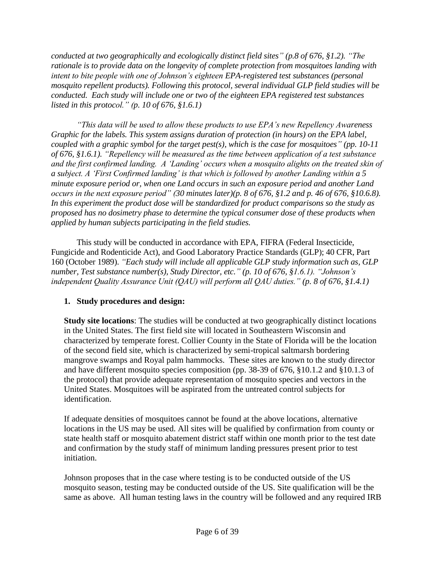*conducted at two geographically and ecologically distinct field sites" (p.8 of 676, §1.2). "The rationale is to provide data on the longevity of complete protection from mosquitoes landing with intent to bite people with one of Johnson's eighteen EPA-registered test substances (personal mosquito repellent products). Following this protocol, several individual GLP field studies will be conducted. Each study will include one or two of the eighteen EPA registered test substances listed in this protocol." (p. 10 of 676, §1.6.1)* 

*"This data will be used to allow these products to use EPA's new Repellency Awareness Graphic for the labels. This system assigns duration of protection (in hours) on the EPA label, coupled with a graphic symbol for the target pest(s), which is the case for mosquitoes" (pp. 10-11 of 676, §1.6.1). "Repellency will be measured as the time between application of a test substance and the first confirmed landing. A 'Landing' occurs when a mosquito alights on the treated skin of a subject. A 'First Confirmed landing' is that which is followed by another Landing within a 5 minute exposure period or, when one Land occurs in such an exposure period and another Land occurs in the next exposure period" (30 minutes later)(p. 8 of 676, §1.2 and p. 46 of 676, §10.6.8). In this experiment the product dose will be standardized for product comparisons so the study as proposed has no dosimetry phase to determine the typical consumer dose of these products when applied by human subjects participating in the field studies.*

This study will be conducted in accordance with EPA, FIFRA (Federal Insecticide, Fungicide and Rodenticide Act), and Good Laboratory Practice Standards (GLP); 40 CFR, Part 160 (October 1989). *"Each study will include all applicable GLP study information such as, GLP number, Test substance number(s), Study Director, etc." (p. 10 of 676, §1.6.1). "Johnson's independent Quality Assurance Unit (QAU) will perform all QAU duties." (p. 8 of 676, §1.4.1)*

# **1. Study procedures and design:**

**Study site locations:** The studies will be conducted at two geographically distinct locations in the United States. The first field site will located in Southeastern Wisconsin and characterized by temperate forest. Collier County in the State of Florida will be the location of the second field site, which is characterized by semi-tropical saltmarsh bordering mangrove swamps and Royal palm hammocks. These sites are known to the study director and have different mosquito species composition (pp. 38-39 of 676, §10.1.2 and §10.1.3 of the protocol) that provide adequate representation of mosquito species and vectors in the United States. Mosquitoes will be aspirated from the untreated control subjects for identification.

If adequate densities of mosquitoes cannot be found at the above locations, alternative locations in the US may be used. All sites will be qualified by confirmation from county or state health staff or mosquito abatement district staff within one month prior to the test date and confirmation by the study staff of minimum landing pressures present prior to test initiation.

Johnson proposes that in the case where testing is to be conducted outside of the US mosquito season, testing may be conducted outside of the US. Site qualification will be the same as above. All human testing laws in the country will be followed and any required IRB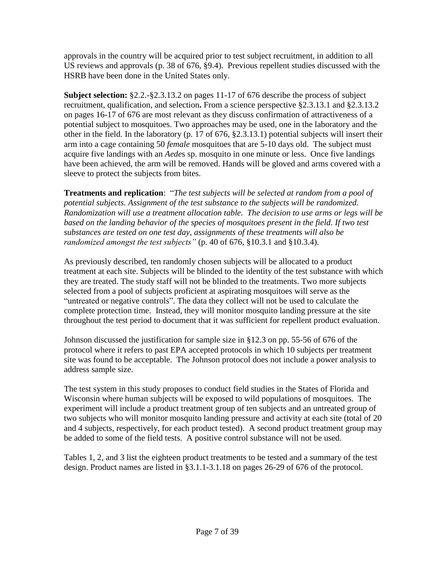approvals in the country will be acquired prior to test subject recruitment, in addition to all US reviews and approvals (p. 38 of 676, §9.4). Previous repellent studies discussed with the HSRB have been done in the United States only.

**Subject selection:** §2.2.-§2.3.13.2 on pages 11-17 of 676 describe the process of subject recruitment, qualification, and selection**.** From a science perspective §2.3.13.1 and §2.3.13.2 on pages 16-17 of 676 are most relevant as they discuss confirmation of attractiveness of a potential subject to mosquitoes. Two approaches may be used, one in the laboratory and the other in the field. In the laboratory (p. 17 of 676, §2.3.13.1) potential subjects will insert their arm into a cage containing 50 *female* mosquitoes that are 5-10 days old. The subject must acquire five landings with an *Aede*s sp. mosquito in one minute or less. Once five landings have been achieved, the arm will be removed. Hands will be gloved and arms covered with a sleeve to protect the subjects from bites.

**Treatments and replication**: "*The test subjects will be selected at random from a pool of potential subjects. Assignment of the test substance to the subjects will be randomized. Randomization will use a treatment allocation table. The decision to use arms or legs will be based on the landing behavior of the species of mosquitoes present in the field. If two test substances are tested on one test day, assignments of these treatments will also be randomized amongst the test subjects"* (p. 40 of 676, §10.3.1 and §10.3.4).

As previously described, ten randomly chosen subjects will be allocated to a product treatment at each site. Subjects will be blinded to the identity of the test substance with which they are treated. The study staff will not be blinded to the treatments. Two more subjects selected from a pool of subjects proficient at aspirating mosquitoes will serve as the "untreated or negative controls". The data they collect will not be used to calculate the complete protection time. Instead, they will monitor mosquito landing pressure at the site throughout the test period to document that it was sufficient for repellent product evaluation.

Johnson discussed the justification for sample size in §12.3 on pp. 55-56 of 676 of the protocol where it refers to past EPA accepted protocols in which 10 subjects per treatment site was found to be acceptable. The Johnson protocol does not include a power analysis to address sample size.

The test system in this study proposes to conduct field studies in the States of Florida and Wisconsin where human subjects will be exposed to wild populations of mosquitoes. The experiment will include a product treatment group of ten subjects and an untreated group of two subjects who will monitor mosquito landing pressure and activity at each site (total of 20 and 4 subjects, respectively, for each product tested). A second product treatment group may be added to some of the field tests. A positive control substance will not be used.

Tables 1, 2, and 3 list the eighteen product treatments to be tested and a summary of the test design. Product names are listed in §3.1.1-3.1.18 on pages 26-29 of 676 of the protocol.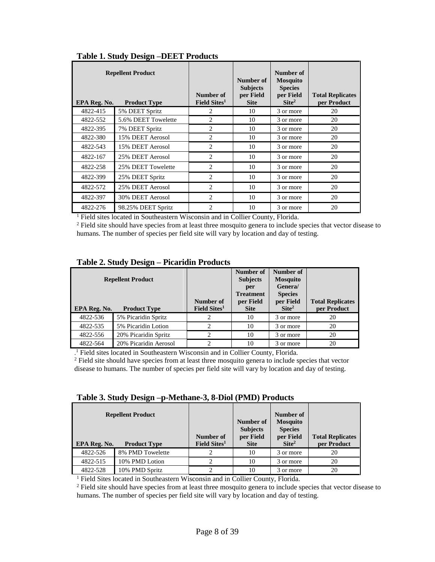| EPA Reg. No. | <b>Repellent Product</b><br><b>Product Type</b> | Number of<br>Field Sites <sup>1</sup> | Number of<br><b>Subjects</b><br>per Field<br><b>Site</b> | Number of<br><b>Mosquito</b><br><b>Species</b><br>per Field<br>$\text{Site}^2$ | <b>Total Replicates</b><br>per Product |
|--------------|-------------------------------------------------|---------------------------------------|----------------------------------------------------------|--------------------------------------------------------------------------------|----------------------------------------|
| 4822-415     | 5% DEET Spritz                                  | 2                                     | 10                                                       | 3 or more                                                                      | 20                                     |
| 4822-552     | 5.6% DEET Towelette                             | 2                                     | 10                                                       | 3 or more                                                                      | 20                                     |
| 4822-395     | 7% DEET Spritz                                  | $\overline{c}$                        | 10                                                       | 3 or more                                                                      | 20                                     |
| 4822-380     | 15% DEET Aerosol                                | $\mathcal{L}$                         | 10                                                       | 3 or more                                                                      | 20                                     |
| 4822-543     | 15% DEET Aerosol                                | $\overline{2}$                        | 10                                                       | 3 or more                                                                      | 20                                     |
| 4822-167     | 25% DEET Aerosol                                | $\mathcal{L}$                         | 10                                                       | 3 or more                                                                      | 20                                     |
| 4822-258     | 25% DEET Towelette                              | $\overline{c}$                        | 10                                                       | 3 or more                                                                      | 20                                     |
| 4822-399     | 25% DEET Spritz                                 | $\mathcal{L}$                         | 10                                                       | 3 or more                                                                      | 20                                     |
| 4822-572     | 25% DEET Aerosol                                | $\overline{c}$                        | 10                                                       | 3 or more                                                                      | 20                                     |
| 4822-397     | 30% DEET Aerosol                                | 2                                     | 10                                                       | 3 or more                                                                      | 20                                     |
| 4822-276     | 98.25% DEET Spritz                              | 2                                     | 10                                                       | 3 or more                                                                      | 20                                     |

#### **Table 1. Study Design –DEET Products**

<sup>1</sup> Field sites located in Southeastern Wisconsin and in Collier County, Florida.

<sup>2</sup> Field site should have species from at least three mosquito genera to include species that vector disease to humans. The number of species per field site will vary by location and day of testing.

| $1000 - 1000$<br>1 RADIO 1 DUCCO                                |                       |                                       |                                                                                     |                                                                                           |                                        |
|-----------------------------------------------------------------|-----------------------|---------------------------------------|-------------------------------------------------------------------------------------|-------------------------------------------------------------------------------------------|----------------------------------------|
| <b>Repellent Product</b><br>EPA Reg. No.<br><b>Product Type</b> |                       | Number of<br>Field Sites <sup>1</sup> | Number of<br><b>Subjects</b><br>per<br><b>Treatment</b><br>per Field<br><b>Site</b> | Number of<br><b>Mosquito</b><br>Genera/<br><b>Species</b><br>per Field<br>$\text{Site}^2$ | <b>Total Replicates</b><br>per Product |
| 4822-536                                                        | 5% Picaridin Spritz   | 2                                     | 10                                                                                  | 3 or more                                                                                 | 20                                     |
| 4822-535                                                        | 5% Picaridin Lotion   | 2                                     | 10                                                                                  | 3 or more                                                                                 | 20                                     |
| 4822-556                                                        | 20% Picaridin Spritz  | 2                                     | 10                                                                                  | 3 or more                                                                                 | 20                                     |
| 4822-564                                                        | 20% Picaridin Aerosol | 2                                     | 10                                                                                  | 3 or more                                                                                 | 20                                     |

### **Table 2. Study Design – Picaridin Products**

. <sup>1</sup> Field sites located in Southeastern Wisconsin and in Collier County, Florida.

<sup>2</sup> Field site should have species from at least three mosquito genera to include species that vector disease to humans. The number of species per field site will vary by location and day of testing.

| <b>Repellent Product</b><br>EPA Reg. No.<br><b>Product Type</b> |                  | Number of<br>Field Sites <sup>1</sup> | Number of<br><b>Subjects</b><br>per Field<br><b>Site</b> | Number of<br><b>Mosquito</b><br><b>Species</b><br>per Field<br>$\text{Site}^2$ | <b>Total Replicates</b><br>per Product |
|-----------------------------------------------------------------|------------------|---------------------------------------|----------------------------------------------------------|--------------------------------------------------------------------------------|----------------------------------------|
|                                                                 |                  |                                       |                                                          |                                                                                |                                        |
| 4822-526                                                        | 8% PMD Towelette | $\mathcal{D}_{\mathcal{L}}$           | 10                                                       | 3 or more                                                                      | 20                                     |
| 4822-515                                                        | 10% PMD Lotion   | ∍                                     | 10                                                       | 3 or more                                                                      | 20                                     |
| 4822-528                                                        | 10% PMD Spritz   |                                       | 10                                                       | 3 or more                                                                      | 20                                     |

<sup>1</sup> Field Sites located in Southeastern Wisconsin and in Collier County, Florida.

<sup>2</sup> Field site should have species from at least three mosquito genera to include species that vector disease to humans. The number of species per field site will vary by location and day of testing.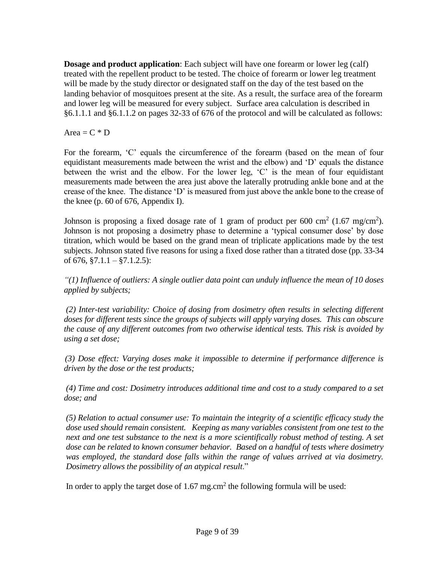**Dosage and product application**: Each subject will have one forearm or lower leg (calf) treated with the repellent product to be tested. The choice of forearm or lower leg treatment will be made by the study director or designated staff on the day of the test based on the landing behavior of mosquitoes present at the site. As a result, the surface area of the forearm and lower leg will be measured for every subject. Surface area calculation is described in §6.1.1.1 and §6.1.1.2 on pages 32-33 of 676 of the protocol and will be calculated as follows:

Area =  $C \times D$ 

For the forearm, 'C' equals the circumference of the forearm (based on the mean of four equidistant measurements made between the wrist and the elbow) and 'D' equals the distance between the wrist and the elbow. For the lower leg, 'C' is the mean of four equidistant measurements made between the area just above the laterally protruding ankle bone and at the crease of the knee. The distance 'D' is measured from just above the ankle bone to the crease of the knee (p. 60 of 676, Appendix I).

Johnson is proposing a fixed dosage rate of 1 gram of product per 600 cm<sup>2</sup> (1.67 mg/cm<sup>2</sup>). Johnson is not proposing a dosimetry phase to determine a 'typical consumer dose' by dose titration, which would be based on the grand mean of triplicate applications made by the test subjects. Johnson stated five reasons for using a fixed dose rather than a titrated dose (pp. 33-34 of  $676$ ,  $$7.1.1 - $7.1.2.5$ :

*"(1) Influence of outliers: A single outlier data point can unduly influence the mean of 10 doses applied by subjects;*

*(2) Inter-test variability: Choice of dosing from dosimetry often results in selecting different doses for different tests since the groups of subjects will apply varying doses. This can obscure the cause of any different outcomes from two otherwise identical tests. This risk is avoided by using a set dose;*

*(3) Dose effect: Varying doses make it impossible to determine if performance difference is driven by the dose or the test products;*

*(4) Time and cost: Dosimetry introduces additional time and cost to a study compared to a set dose; and* 

*(5) Relation to actual consumer use: To maintain the integrity of a scientific efficacy study the dose used should remain consistent. Keeping as many variables consistent from one test to the next and one test substance to the next is a more scientifically robust method of testing. A set dose can be related to known consumer behavior. Based on a handful of tests where dosimetry was employed, the standard dose falls within the range of values arrived at via dosimetry. Dosimetry allows the possibility of an atypical result*."

In order to apply the target dose of  $1.67$  mg.cm<sup>2</sup> the following formula will be used: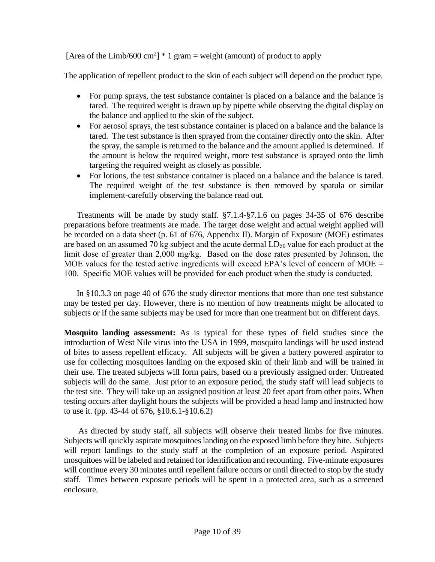[Area of the Limb/600 cm<sup>2</sup>]  $*$  1 gram = weight (amount) of product to apply

The application of repellent product to the skin of each subject will depend on the product type.

- For pump sprays, the test substance container is placed on a balance and the balance is tared. The required weight is drawn up by pipette while observing the digital display on the balance and applied to the skin of the subject.
- For aerosol sprays, the test substance container is placed on a balance and the balance is tared. The test substance is then sprayed from the container directly onto the skin. After the spray, the sample is returned to the balance and the amount applied is determined. If the amount is below the required weight, more test substance is sprayed onto the limb targeting the required weight as closely as possible.
- For lotions, the test substance container is placed on a balance and the balance is tared. The required weight of the test substance is then removed by spatula or similar implement-carefully observing the balance read out.

Treatments will be made by study staff. §7.1.4-§7.1.6 on pages 34-35 of 676 describe preparations before treatments are made. The target dose weight and actual weight applied will be recorded on a data sheet (p. 61 of 676, Appendix II). Margin of Exposure (MOE) estimates are based on an assumed 70 kg subject and the acute dermal  $LD_{50}$  value for each product at the limit dose of greater than 2,000 mg/kg. Based on the dose rates presented by Johnson, the MOE values for the tested active ingredients will exceed EPA's level of concern of MOE  $=$ 100. Specific MOE values will be provided for each product when the study is conducted.

In §10.3.3 on page 40 of 676 the study director mentions that more than one test substance may be tested per day. However, there is no mention of how treatments might be allocated to subjects or if the same subjects may be used for more than one treatment but on different days.

**Mosquito landing assessment:** As is typical for these types of field studies since the introduction of West Nile virus into the USA in 1999, mosquito landings will be used instead of bites to assess repellent efficacy. All subjects will be given a battery powered aspirator to use for collecting mosquitoes landing on the exposed skin of their limb and will be trained in their use. The treated subjects will form pairs, based on a previously assigned order. Untreated subjects will do the same. Just prior to an exposure period, the study staff will lead subjects to the test site. They will take up an assigned position at least 20 feet apart from other pairs. When testing occurs after daylight hours the subjects will be provided a head lamp and instructed how to use it. (pp. 43-44 of 676, §10.6.1-§10.6.2)

 As directed by study staff, all subjects will observe their treated limbs for five minutes. Subjects will quickly aspirate mosquitoes landing on the exposed limb before they bite. Subjects will report landings to the study staff at the completion of an exposure period. Aspirated mosquitoes will be labeled and retained for identification and recounting. Five-minute exposures will continue every 30 minutes until repellent failure occurs or until directed to stop by the study staff. Times between exposure periods will be spent in a protected area, such as a screened enclosure.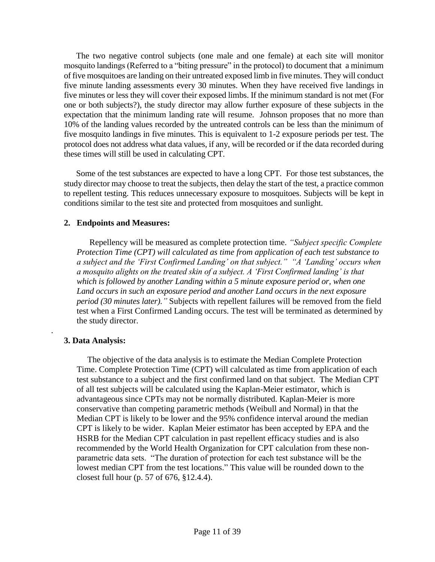The two negative control subjects (one male and one female) at each site will monitor mosquito landings (Referred to a "biting pressure" in the protocol) to document that a minimum of five mosquitoes are landing on their untreated exposed limb in five minutes. They will conduct five minute landing assessments every 30 minutes. When they have received five landings in five minutes or less they will cover their exposed limbs. If the minimum standard is not met (For one or both subjects?), the study director may allow further exposure of these subjects in the expectation that the minimum landing rate will resume. Johnson proposes that no more than 10% of the landing values recorded by the untreated controls can be less than the minimum of five mosquito landings in five minutes. This is equivalent to 1-2 exposure periods per test. The protocol does not address what data values, if any, will be recorded or if the data recorded during these times will still be used in calculating CPT.

 Some of the test substances are expected to have a long CPT. For those test substances, the study director may choose to treat the subjects, then delay the start of the test, a practice common to repellent testing. This reduces unnecessary exposure to mosquitoes. Subjects will be kept in conditions similar to the test site and protected from mosquitoes and sunlight.

## **2. Endpoints and Measures:**

 Repellency will be measured as complete protection time. *"Subject specific Complete Protection Time (CPT) will calculated as time from application of each test substance to a subject and the 'First Confirmed Landing' on that subject." "A 'Landing' occurs when a mosquito alights on the treated skin of a subject. A 'First Confirmed landing' is that which is followed by another Landing within a 5 minute exposure period or, when one Land occurs in such an exposure period and another Land occurs in the next exposure period (30 minutes later)."* Subjects with repellent failures will be removed from the field test when a First Confirmed Landing occurs. The test will be terminated as determined by the study director.

## **3. Data Analysis:**

.

 The objective of the data analysis is to estimate the Median Complete Protection Time. Complete Protection Time (CPT) will calculated as time from application of each test substance to a subject and the first confirmed land on that subject. The Median CPT of all test subjects will be calculated using the Kaplan-Meier estimator, which is advantageous since CPTs may not be normally distributed. Kaplan-Meier is more conservative than competing parametric methods (Weibull and Normal) in that the Median CPT is likely to be lower and the 95% confidence interval around the median CPT is likely to be wider. Kaplan Meier estimator has been accepted by EPA and the HSRB for the Median CPT calculation in past repellent efficacy studies and is also recommended by the World Health Organization for CPT calculation from these nonparametric data sets. "The duration of protection for each test substance will be the lowest median CPT from the test locations." This value will be rounded down to the closest full hour (p. 57 of 676, §12.4.4).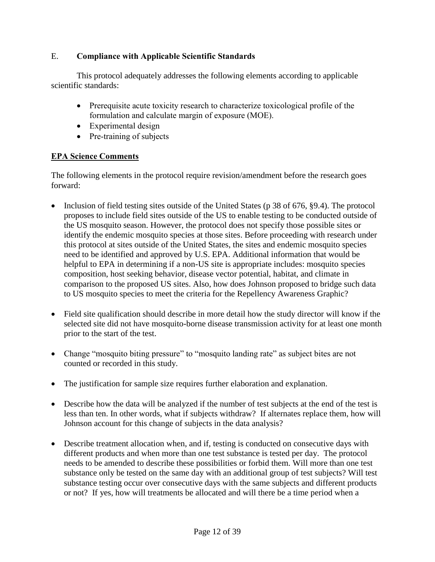## E. **Compliance with Applicable Scientific Standards**

This protocol adequately addresses the following elements according to applicable scientific standards:

- Prerequisite acute toxicity research to characterize toxicological profile of the formulation and calculate margin of exposure (MOE).
- Experimental design
- Pre-training of subjects

## **EPA Science Comments**

The following elements in the protocol require revision/amendment before the research goes forward:

- Inclusion of field testing sites outside of the United States ( $p$  38 of 676,  $\S$ 9.4). The protocol proposes to include field sites outside of the US to enable testing to be conducted outside of the US mosquito season. However, the protocol does not specify those possible sites or identify the endemic mosquito species at those sites. Before proceeding with research under this protocol at sites outside of the United States, the sites and endemic mosquito species need to be identified and approved by U.S. EPA. Additional information that would be helpful to EPA in determining if a non-US site is appropriate includes: mosquito species composition, host seeking behavior, disease vector potential, habitat, and climate in comparison to the proposed US sites. Also, how does Johnson proposed to bridge such data to US mosquito species to meet the criteria for the Repellency Awareness Graphic?
- Field site qualification should describe in more detail how the study director will know if the selected site did not have mosquito-borne disease transmission activity for at least one month prior to the start of the test.
- Change "mosquito biting pressure" to "mosquito landing rate" as subject bites are not counted or recorded in this study.
- The justification for sample size requires further elaboration and explanation.
- Describe how the data will be analyzed if the number of test subjects at the end of the test is less than ten. In other words, what if subjects withdraw? If alternates replace them, how will Johnson account for this change of subjects in the data analysis?
- Describe treatment allocation when, and if, testing is conducted on consecutive days with different products and when more than one test substance is tested per day. The protocol needs to be amended to describe these possibilities or forbid them. Will more than one test substance only be tested on the same day with an additional group of test subjects? Will test substance testing occur over consecutive days with the same subjects and different products or not? If yes, how will treatments be allocated and will there be a time period when a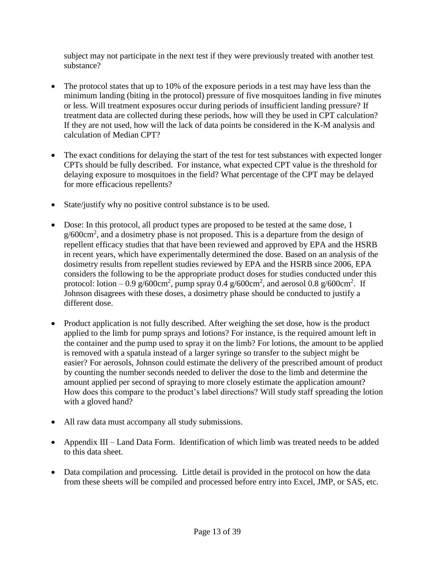subject may not participate in the next test if they were previously treated with another test substance?

- The protocol states that up to 10% of the exposure periods in a test may have less than the minimum landing (biting in the protocol) pressure of five mosquitoes landing in five minutes or less. Will treatment exposures occur during periods of insufficient landing pressure? If treatment data are collected during these periods, how will they be used in CPT calculation? If they are not used, how will the lack of data points be considered in the K-M analysis and calculation of Median CPT?
- The exact conditions for delaying the start of the test for test substances with expected longer CPTs should be fully described. For instance, what expected CPT value is the threshold for delaying exposure to mosquitoes in the field? What percentage of the CPT may be delayed for more efficacious repellents?
- State/justify why no positive control substance is to be used.
- Dose: In this protocol, all product types are proposed to be tested at the same dose, 1  $g/600 \text{cm}^2$ , and a dosimetry phase is not proposed. This is a departure from the design of repellent efficacy studies that that have been reviewed and approved by EPA and the HSRB in recent years, which have experimentally determined the dose. Based on an analysis of the dosimetry results from repellent studies reviewed by EPA and the HSRB since 2006, EPA considers the following to be the appropriate product doses for studies conducted under this protocol: lotion – 0.9 g/600cm<sup>2</sup>, pump spray 0.4 g/600cm<sup>2</sup>, and aerosol 0.8 g/600cm<sup>2</sup>. If Johnson disagrees with these doses, a dosimetry phase should be conducted to justify a different dose.
- Product application is not fully described. After weighing the set dose, how is the product applied to the limb for pump sprays and lotions? For instance, is the required amount left in the container and the pump used to spray it on the limb? For lotions, the amount to be applied is removed with a spatula instead of a larger syringe so transfer to the subject might be easier? For aerosols, Johnson could estimate the delivery of the prescribed amount of product by counting the number seconds needed to deliver the dose to the limb and determine the amount applied per second of spraying to more closely estimate the application amount? How does this compare to the product's label directions? Will study staff spreading the lotion with a gloved hand?
- All raw data must accompany all study submissions.
- Appendix III Land Data Form. Identification of which limb was treated needs to be added to this data sheet.
- Data compilation and processing. Little detail is provided in the protocol on how the data from these sheets will be compiled and processed before entry into Excel, JMP, or SAS, etc.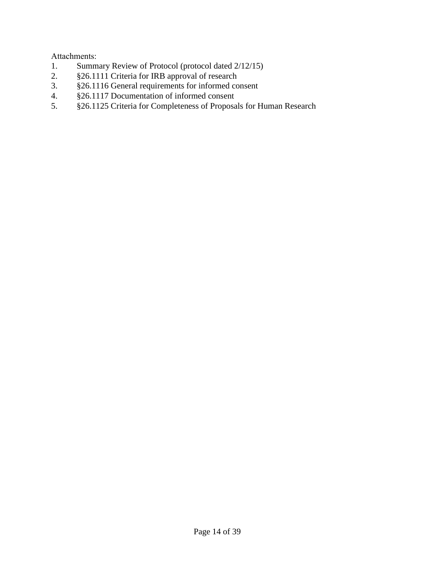Attachments:

- 1. Summary Review of Protocol (protocol dated 2/12/15)
- 2. §26.1111 Criteria for IRB approval of research
- 3. §26.1116 General requirements for informed consent
- 4. §26.1117 Documentation of informed consent
- 5. §26.1125 Criteria for Completeness of Proposals for Human Research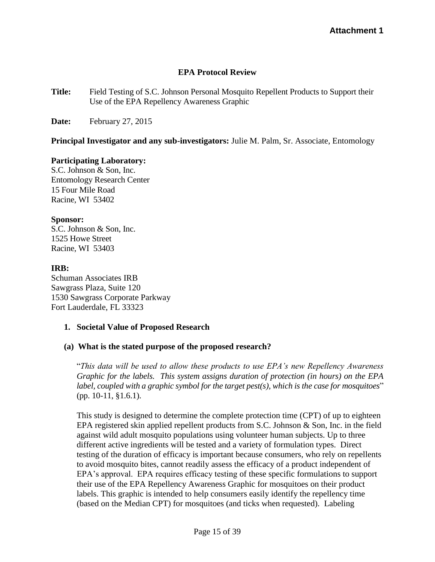## **EPA Protocol Review**

**Title:** Field Testing of S.C. Johnson Personal Mosquito Repellent Products to Support their Use of the EPA Repellency Awareness Graphic

**Date:** February 27, 2015

**Principal Investigator and any sub-investigators:** Julie M. Palm, Sr. Associate, Entomology

#### **Participating Laboratory:**

S.C. Johnson & Son, Inc. Entomology Research Center 15 Four Mile Road Racine, WI 53402

### **Sponsor:**

S.C. Johnson & Son, Inc. 1525 Howe Street Racine, WI 53403

## **IRB:**

Schuman Associates IRB Sawgrass Plaza, Suite 120 1530 Sawgrass Corporate Parkway Fort Lauderdale, FL 33323

## **1. Societal Value of Proposed Research**

## **(a) What is the stated purpose of the proposed research?**

"*This data will be used to allow these products to use EPA's new Repellency Awareness Graphic for the labels. This system assigns duration of protection (in hours) on the EPA label, coupled with a graphic symbol for the target pest(s), which is the case for mosquitoes*" (pp. 10-11, §1.6.1).

This study is designed to determine the complete protection time (CPT) of up to eighteen EPA registered skin applied repellent products from S.C. Johnson & Son, Inc. in the field against wild adult mosquito populations using volunteer human subjects. Up to three different active ingredients will be tested and a variety of formulation types. Direct testing of the duration of efficacy is important because consumers, who rely on repellents to avoid mosquito bites, cannot readily assess the efficacy of a product independent of EPA's approval. EPA requires efficacy testing of these specific formulations to support their use of the EPA Repellency Awareness Graphic for mosquitoes on their product labels. This graphic is intended to help consumers easily identify the repellency time (based on the Median CPT) for mosquitoes (and ticks when requested). Labeling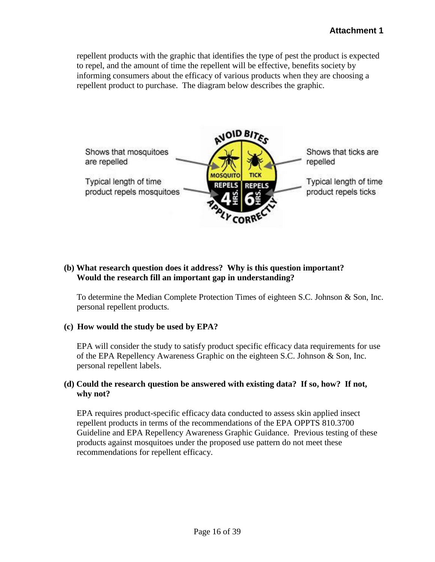repellent products with the graphic that identifies the type of pest the product is expected to repel, and the amount of time the repellent will be effective, benefits society by informing consumers about the efficacy of various products when they are choosing a repellent product to purchase. The diagram below describes the graphic.



## **(b) What research question does it address? Why is this question important? Would the research fill an important gap in understanding?**

To determine the Median Complete Protection Times of eighteen S.C. Johnson & Son, Inc. personal repellent products.

#### **(c) How would the study be used by EPA?**

EPA will consider the study to satisfy product specific efficacy data requirements for use of the EPA Repellency Awareness Graphic on the eighteen S.C. Johnson & Son, Inc. personal repellent labels.

## **(d) Could the research question be answered with existing data? If so, how? If not, why not?**

EPA requires product-specific efficacy data conducted to assess skin applied insect repellent products in terms of the recommendations of the EPA OPPTS 810.3700 Guideline and EPA Repellency Awareness Graphic Guidance. Previous testing of these products against mosquitoes under the proposed use pattern do not meet these recommendations for repellent efficacy.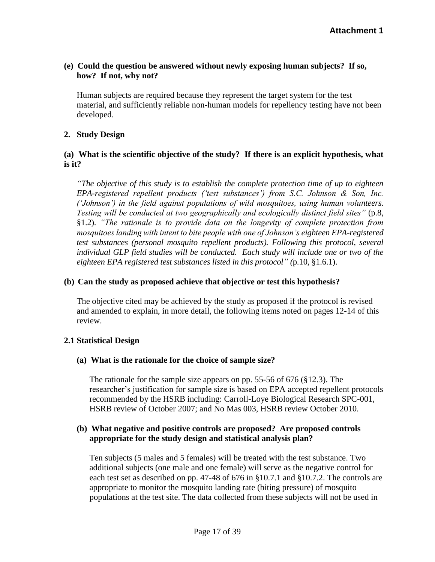## **(e) Could the question be answered without newly exposing human subjects? If so, how? If not, why not?**

Human subjects are required because they represent the target system for the test material, and sufficiently reliable non-human models for repellency testing have not been developed.

## **2. Study Design**

## **(a) What is the scientific objective of the study? If there is an explicit hypothesis, what is it?**

*"The objective of this study is to establish the complete protection time of up to eighteen EPA-registered repellent products ('test substances') from S.C. Johnson & Son, Inc. ('Johnson') in the field against populations of wild mosquitoes, using human volunteers. Testing will be conducted at two geographically and ecologically distinct field sites"* (p.8, §1.2). *"The rationale is to provide data on the longevity of complete protection from mosquitoes landing with intent to bite people with one of Johnson's eighteen EPA-registered test substances (personal mosquito repellent products). Following this protocol, several individual GLP field studies will be conducted. Each study will include one or two of the eighteen EPA registered test substances listed in this protocol" (*p.10, §1.6.1).

## **(b) Can the study as proposed achieve that objective or test this hypothesis?**

The objective cited may be achieved by the study as proposed if the protocol is revised and amended to explain, in more detail, the following items noted on pages 12-14 of this review.

## **2.1 Statistical Design**

## **(a) What is the rationale for the choice of sample size?**

The rationale for the sample size appears on pp. 55-56 of 676 (§12.3). The researcher's justification for sample size is based on EPA accepted repellent protocols recommended by the HSRB including: Carroll-Loye Biological Research SPC-001, HSRB review of October 2007; and No Mas 003, HSRB review October 2010.

## **(b) What negative and positive controls are proposed? Are proposed controls appropriate for the study design and statistical analysis plan?**

Ten subjects (5 males and 5 females) will be treated with the test substance. Two additional subjects (one male and one female) will serve as the negative control for each test set as described on pp. 47-48 of 676 in §10.7.1 and §10.7.2. The controls are appropriate to monitor the mosquito landing rate (biting pressure) of mosquito populations at the test site. The data collected from these subjects will not be used in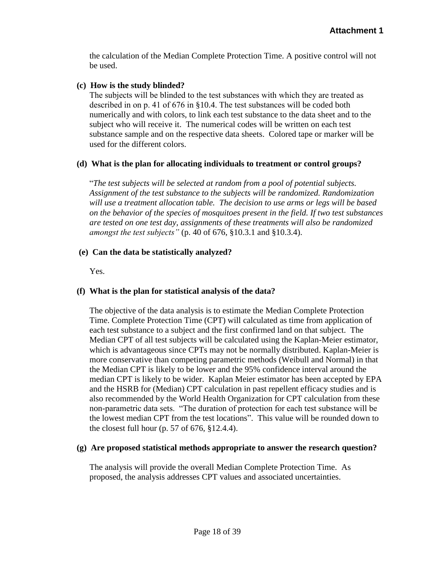the calculation of the Median Complete Protection Time. A positive control will not be used.

## **(c) How is the study blinded?**

The subjects will be blinded to the test substances with which they are treated as described in on p. 41 of 676 in §10.4. The test substances will be coded both numerically and with colors, to link each test substance to the data sheet and to the subject who will receive it. The numerical codes will be written on each test substance sample and on the respective data sheets. Colored tape or marker will be used for the different colors.

## **(d) What is the plan for allocating individuals to treatment or control groups?**

"*The test subjects will be selected at random from a pool of potential subjects. Assignment of the test substance to the subjects will be randomized. Randomization will use a treatment allocation table. The decision to use arms or legs will be based on the behavior of the species of mosquitoes present in the field. If two test substances are tested on one test day, assignments of these treatments will also be randomized amongst the test subjects"* (p. 40 of 676, §10.3.1 and §10.3.4).

## **(e) Can the data be statistically analyzed?**

Yes.

## **(f) What is the plan for statistical analysis of the data?**

The objective of the data analysis is to estimate the Median Complete Protection Time. Complete Protection Time (CPT) will calculated as time from application of each test substance to a subject and the first confirmed land on that subject. The Median CPT of all test subjects will be calculated using the Kaplan-Meier estimator, which is advantageous since CPTs may not be normally distributed. Kaplan-Meier is more conservative than competing parametric methods (Weibull and Normal) in that the Median CPT is likely to be lower and the 95% confidence interval around the median CPT is likely to be wider. Kaplan Meier estimator has been accepted by EPA and the HSRB for (Median) CPT calculation in past repellent efficacy studies and is also recommended by the World Health Organization for CPT calculation from these non-parametric data sets. "The duration of protection for each test substance will be the lowest median CPT from the test locations". This value will be rounded down to the closest full hour (p. 57 of 676, §12.4.4).

#### **(g) Are proposed statistical methods appropriate to answer the research question?**

The analysis will provide the overall Median Complete Protection Time. As proposed, the analysis addresses CPT values and associated uncertainties.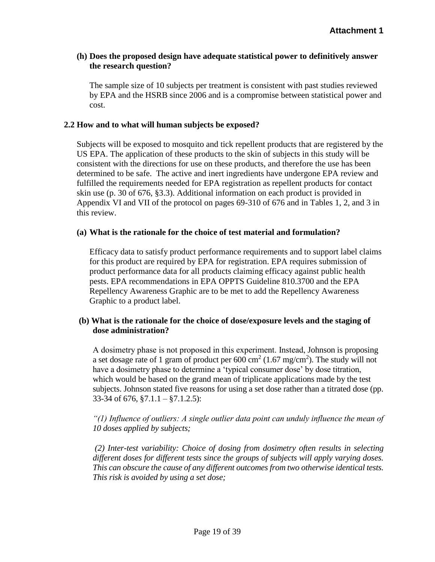## **(h) Does the proposed design have adequate statistical power to definitively answer the research question?**

The sample size of 10 subjects per treatment is consistent with past studies reviewed by EPA and the HSRB since 2006 and is a compromise between statistical power and cost.

## **2.2 How and to what will human subjects be exposed?**

Subjects will be exposed to mosquito and tick repellent products that are registered by the US EPA. The application of these products to the skin of subjects in this study will be consistent with the directions for use on these products, and therefore the use has been determined to be safe. The active and inert ingredients have undergone EPA review and fulfilled the requirements needed for EPA registration as repellent products for contact skin use (p. 30 of 676, §3.3). Additional information on each product is provided in Appendix VI and VII of the protocol on pages 69-310 of 676 and in Tables 1, 2, and 3 in this review.

#### **(a) What is the rationale for the choice of test material and formulation?**

Efficacy data to satisfy product performance requirements and to support label claims for this product are required by EPA for registration. EPA requires submission of product performance data for all products claiming efficacy against public health pests. EPA recommendations in EPA OPPTS Guideline 810.3700 and the EPA Repellency Awareness Graphic are to be met to add the Repellency Awareness Graphic to a product label.

## **(b) What is the rationale for the choice of dose/exposure levels and the staging of dose administration?**

A dosimetry phase is not proposed in this experiment. Instead, Johnson is proposing a set dosage rate of 1 gram of product per  $600 \text{ cm}^2$  (1.67 mg/cm<sup>2</sup>). The study will not have a dosimetry phase to determine a 'typical consumer dose' by dose titration, which would be based on the grand mean of triplicate applications made by the test subjects. Johnson stated five reasons for using a set dose rather than a titrated dose (pp. 33-34 of 676,  $$7.1.1 - $7.1.2.5$ :

*"(1) Influence of outliers: A single outlier data point can unduly influence the mean of 10 doses applied by subjects;*

*(2) Inter-test variability: Choice of dosing from dosimetry often results in selecting different doses for different tests since the groups of subjects will apply varying doses. This can obscure the cause of any different outcomes from two otherwise identical tests. This risk is avoided by using a set dose;*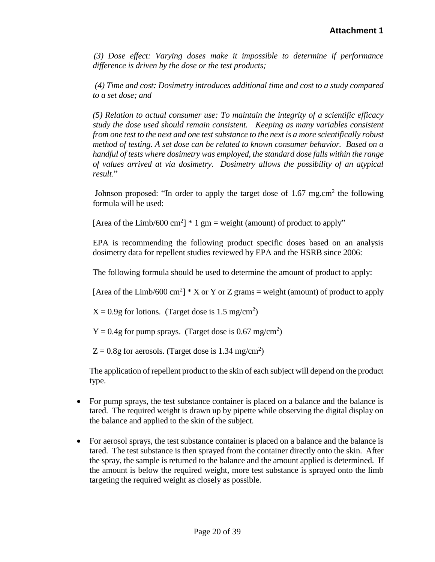*(3) Dose effect: Varying doses make it impossible to determine if performance difference is driven by the dose or the test products;* 

*(4) Time and cost: Dosimetry introduces additional time and cost to a study compared to a set dose; and* 

*(5) Relation to actual consumer use: To maintain the integrity of a scientific efficacy study the dose used should remain consistent. Keeping as many variables consistent from one test to the next and one test substance to the next is a more scientifically robust method of testing. A set dose can be related to known consumer behavior. Based on a handful of tests where dosimetry was employed, the standard dose falls within the range of values arrived at via dosimetry. Dosimetry allows the possibility of an atypical result*."

Johnson proposed: "In order to apply the target dose of  $1.67$  mg.cm<sup>2</sup> the following formula will be used:

[Area of the Limb/600 cm<sup>2</sup>]  $*$  1 gm = weight (amount) of product to apply"

EPA is recommending the following product specific doses based on an analysis dosimetry data for repellent studies reviewed by EPA and the HSRB since 2006:

The following formula should be used to determine the amount of product to apply:

[Area of the Limb/600 cm<sup>2</sup>]  $*$  X or Y or Z grams = weight (amount) of product to apply

 $X = 0.9g$  for lotions. (Target dose is 1.5 mg/cm<sup>2</sup>)

 $Y = 0.4g$  for pump sprays. (Target dose is 0.67 mg/cm<sup>2</sup>)

 $Z = 0.8g$  for aerosols. (Target dose is 1.34 mg/cm<sup>2</sup>)

The application of repellent product to the skin of each subject will depend on the product type.

- For pump sprays, the test substance container is placed on a balance and the balance is tared. The required weight is drawn up by pipette while observing the digital display on the balance and applied to the skin of the subject.
- For aerosol sprays, the test substance container is placed on a balance and the balance is tared. The test substance is then sprayed from the container directly onto the skin. After the spray, the sample is returned to the balance and the amount applied is determined. If the amount is below the required weight, more test substance is sprayed onto the limb targeting the required weight as closely as possible.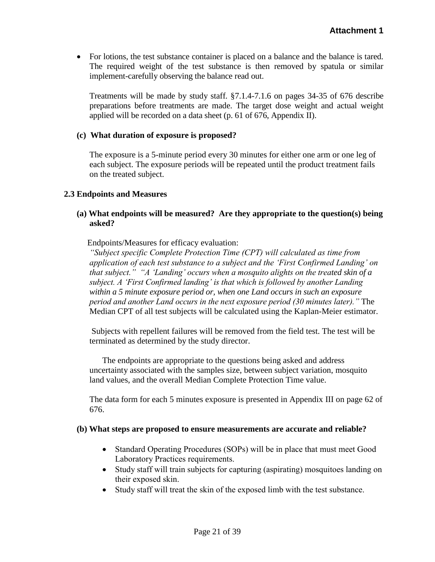For lotions, the test substance container is placed on a balance and the balance is tared. The required weight of the test substance is then removed by spatula or similar implement-carefully observing the balance read out.

Treatments will be made by study staff. §7.1.4-7.1.6 on pages 34-35 of 676 describe preparations before treatments are made. The target dose weight and actual weight applied will be recorded on a data sheet (p. 61 of 676, Appendix II).

## **(c) What duration of exposure is proposed?**

The exposure is a 5-minute period every 30 minutes for either one arm or one leg of each subject. The exposure periods will be repeated until the product treatment fails on the treated subject.

## **2.3 Endpoints and Measures**

## **(a) What endpoints will be measured? Are they appropriate to the question(s) being asked?**

Endpoints/Measures for efficacy evaluation:

*"Subject specific Complete Protection Time (CPT) will calculated as time from application of each test substance to a subject and the 'First Confirmed Landing' on that subject." "A 'Landing' occurs when a mosquito alights on the treated skin of a subject. A 'First Confirmed landing' is that which is followed by another Landing within a 5 minute exposure period or, when one Land occurs in such an exposure period and another Land occurs in the next exposure period (30 minutes later)."* The Median CPT of all test subjects will be calculated using the Kaplan-Meier estimator.

Subjects with repellent failures will be removed from the field test. The test will be terminated as determined by the study director.

The endpoints are appropriate to the questions being asked and address uncertainty associated with the samples size, between subject variation, mosquito land values, and the overall Median Complete Protection Time value.

The data form for each 5 minutes exposure is presented in Appendix III on page 62 of 676.

#### **(b) What steps are proposed to ensure measurements are accurate and reliable?**

- Standard Operating Procedures (SOPs) will be in place that must meet Good Laboratory Practices requirements.
- Study staff will train subjects for capturing (aspirating) mosquitoes landing on their exposed skin.
- Study staff will treat the skin of the exposed limb with the test substance.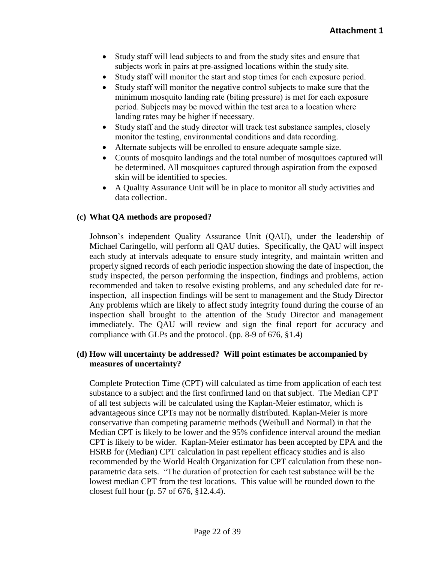- Study staff will lead subjects to and from the study sites and ensure that subjects work in pairs at pre-assigned locations within the study site.
- Study staff will monitor the start and stop times for each exposure period.
- Study staff will monitor the negative control subjects to make sure that the minimum mosquito landing rate (biting pressure) is met for each exposure period. Subjects may be moved within the test area to a location where landing rates may be higher if necessary.
- Study staff and the study director will track test substance samples, closely monitor the testing, environmental conditions and data recording.
- Alternate subjects will be enrolled to ensure adequate sample size.
- Counts of mosquito landings and the total number of mosquitoes captured will be determined. All mosquitoes captured through aspiration from the exposed skin will be identified to species.
- A Quality Assurance Unit will be in place to monitor all study activities and data collection.

## **(c) What QA methods are proposed?**

Johnson's independent Quality Assurance Unit (QAU), under the leadership of Michael Caringello, will perform all QAU duties. Specifically, the QAU will inspect each study at intervals adequate to ensure study integrity, and maintain written and properly signed records of each periodic inspection showing the date of inspection, the study inspected, the person performing the inspection, findings and problems, action recommended and taken to resolve existing problems, and any scheduled date for reinspection, all inspection findings will be sent to management and the Study Director Any problems which are likely to affect study integrity found during the course of an inspection shall brought to the attention of the Study Director and management immediately. The QAU will review and sign the final report for accuracy and compliance with GLPs and the protocol. (pp. 8-9 of 676, §1.4)

## **(d) How will uncertainty be addressed? Will point estimates be accompanied by measures of uncertainty?**

Complete Protection Time (CPT) will calculated as time from application of each test substance to a subject and the first confirmed land on that subject. The Median CPT of all test subjects will be calculated using the Kaplan-Meier estimator, which is advantageous since CPTs may not be normally distributed. Kaplan-Meier is more conservative than competing parametric methods (Weibull and Normal) in that the Median CPT is likely to be lower and the 95% confidence interval around the median CPT is likely to be wider. Kaplan-Meier estimator has been accepted by EPA and the HSRB for (Median) CPT calculation in past repellent efficacy studies and is also recommended by the World Health Organization for CPT calculation from these nonparametric data sets. "The duration of protection for each test substance will be the lowest median CPT from the test locations. This value will be rounded down to the closest full hour (p. 57 of 676, §12.4.4).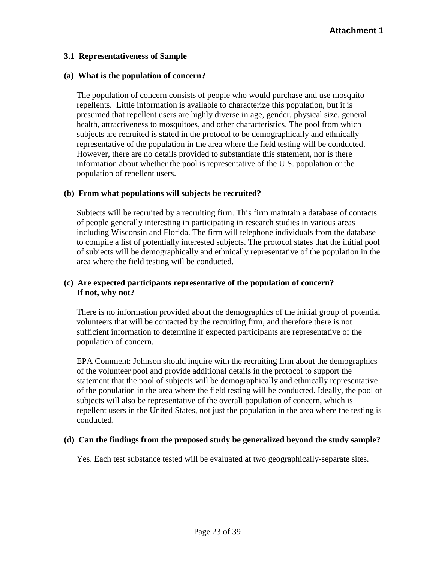## **3.1 Representativeness of Sample**

### **(a) What is the population of concern?**

The population of concern consists of people who would purchase and use mosquito repellents. Little information is available to characterize this population, but it is presumed that repellent users are highly diverse in age, gender, physical size, general health, attractiveness to mosquitoes, and other characteristics. The pool from which subjects are recruited is stated in the protocol to be demographically and ethnically representative of the population in the area where the field testing will be conducted. However, there are no details provided to substantiate this statement, nor is there information about whether the pool is representative of the U.S. population or the population of repellent users.

## **(b) From what populations will subjects be recruited?**

Subjects will be recruited by a recruiting firm. This firm maintain a database of contacts of people generally interesting in participating in research studies in various areas including Wisconsin and Florida. The firm will telephone individuals from the database to compile a list of potentially interested subjects. The protocol states that the initial pool of subjects will be demographically and ethnically representative of the population in the area where the field testing will be conducted.

## **(c) Are expected participants representative of the population of concern? If not, why not?**

There is no information provided about the demographics of the initial group of potential volunteers that will be contacted by the recruiting firm, and therefore there is not sufficient information to determine if expected participants are representative of the population of concern.

EPA Comment: Johnson should inquire with the recruiting firm about the demographics of the volunteer pool and provide additional details in the protocol to support the statement that the pool of subjects will be demographically and ethnically representative of the population in the area where the field testing will be conducted. Ideally, the pool of subjects will also be representative of the overall population of concern, which is repellent users in the United States, not just the population in the area where the testing is conducted.

#### **(d) Can the findings from the proposed study be generalized beyond the study sample?**

Yes. Each test substance tested will be evaluated at two geographically-separate sites.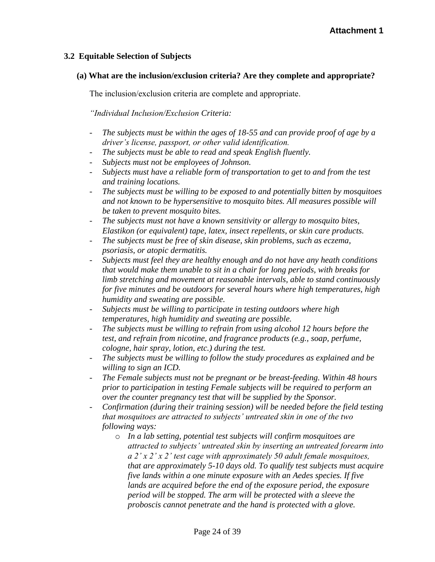## **3.2 Equitable Selection of Subjects**

## **(a) What are the inclusion/exclusion criteria? Are they complete and appropriate?**

The inclusion/exclusion criteria are complete and appropriate.

*"Individual Inclusion/Exclusion Criteria:*

- *The subjects must be within the ages of 18-55 and can provide proof of age by a driver's license, passport, or other valid identification.*
- *The subjects must be able to read and speak English fluently.*
- *Subjects must not be employees of Johnson.*
- *Subjects must have a reliable form of transportation to get to and from the test and training locations.*
- *The subjects must be willing to be exposed to and potentially bitten by mosquitoes and not known to be hypersensitive to mosquito bites. All measures possible will be taken to prevent mosquito bites.*
- *The subjects must not have a known sensitivity or allergy to mosquito bites, Elastikon (or equivalent) tape, latex, insect repellents, or skin care products.*
- *The subjects must be free of skin disease, skin problems, such as eczema, psoriasis, or atopic dermatitis.*
- *Subjects must feel they are healthy enough and do not have any heath conditions that would make them unable to sit in a chair for long periods, with breaks for limb stretching and movement at reasonable intervals, able to stand continuously for five minutes and be outdoors for several hours where high temperatures, high humidity and sweating are possible.*
- *Subjects must be willing to participate in testing outdoors where high temperatures, high humidity and sweating are possible.*
- The subjects must be willing to refrain from using alcohol 12 hours before the *test, and refrain from nicotine, and fragrance products (e.g., soap, perfume, cologne, hair spray, lotion, etc.) during the test.*
- *The subjects must be willing to follow the study procedures as explained and be willing to sign an ICD.*
- *The Female subjects must not be pregnant or be breast-feeding. Within 48 hours prior to participation in testing Female subjects will be required to perform an over the counter pregnancy test that will be supplied by the Sponsor.*
- *Confirmation (during their training session) will be needed before the field testing that mosquitoes are attracted to subjects' untreated skin in one of the two following ways:*
	- o *In a lab setting, potential test subjects will confirm mosquitoes are attracted to subjects' untreated skin by inserting an untreated forearm into a 2' x 2' x 2' test cage with approximately 50 adult female mosquitoes, that are approximately 5-10 days old. To qualify test subjects must acquire five lands within a one minute exposure with an Aedes species. If five lands are acquired before the end of the exposure period, the exposure period will be stopped. The arm will be protected with a sleeve the proboscis cannot penetrate and the hand is protected with a glove.*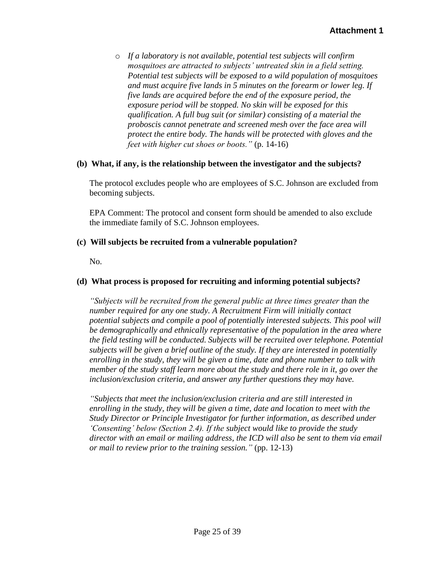o *If a laboratory is not available, potential test subjects will confirm mosquitoes are attracted to subjects' untreated skin in a field setting. Potential test subjects will be exposed to a wild population of mosquitoes and must acquire five lands in 5 minutes on the forearm or lower leg. If five lands are acquired before the end of the exposure period, the exposure period will be stopped. No skin will be exposed for this qualification. A full bug suit (or similar) consisting of a material the proboscis cannot penetrate and screened mesh over the face area will protect the entire body. The hands will be protected with gloves and the feet with higher cut shoes or boots."* (p. 14-16)

## **(b) What, if any, is the relationship between the investigator and the subjects?**

The protocol excludes people who are employees of S.C. Johnson are excluded from becoming subjects.

EPA Comment: The protocol and consent form should be amended to also exclude the immediate family of S.C. Johnson employees.

## **(c) Will subjects be recruited from a vulnerable population?**

No.

### **(d) What process is proposed for recruiting and informing potential subjects?**

*"Subjects will be recruited from the general public at three times greater than the number required for any one study. A Recruitment Firm will initially contact potential subjects and compile a pool of potentially interested subjects. This pool will be demographically and ethnically representative of the population in the area where the field testing will be conducted. Subjects will be recruited over telephone. Potential subjects will be given a brief outline of the study. If they are interested in potentially enrolling in the study, they will be given a time, date and phone number to talk with member of the study staff learn more about the study and there role in it, go over the inclusion/exclusion criteria, and answer any further questions they may have.*

*"Subjects that meet the inclusion/exclusion criteria and are still interested in enrolling in the study, they will be given a time, date and location to meet with the Study Director or Principle Investigator for further information, as described under 'Consenting' below (Section 2.4). If the subject would like to provide the study director with an email or mailing address, the ICD will also be sent to them via email or mail to review prior to the training session."* (pp. 12-13)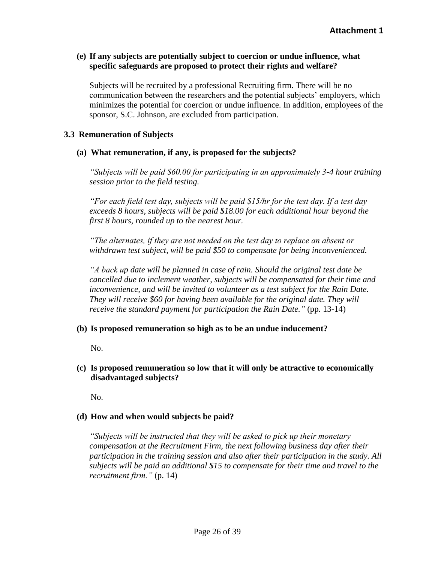### **(e) If any subjects are potentially subject to coercion or undue influence, what specific safeguards are proposed to protect their rights and welfare?**

Subjects will be recruited by a professional Recruiting firm. There will be no communication between the researchers and the potential subjects' employers, which minimizes the potential for coercion or undue influence. In addition, employees of the sponsor, S.C. Johnson, are excluded from participation.

## **3.3 Remuneration of Subjects**

## **(a) What remuneration, if any, is proposed for the subjects?**

*"Subjects will be paid \$60.00 for participating in an approximately 3-4 hour training session prior to the field testing.* 

*"For each field test day, subjects will be paid \$15/hr for the test day. If a test day exceeds 8 hours, subjects will be paid \$18.00 for each additional hour beyond the first 8 hours, rounded up to the nearest hour.*

*"The alternates, if they are not needed on the test day to replace an absent or withdrawn test subject, will be paid \$50 to compensate for being inconvenienced.*

*"A back up date will be planned in case of rain. Should the original test date be cancelled due to inclement weather, subjects will be compensated for their time and inconvenience, and will be invited to volunteer as a test subject for the Rain Date. They will receive \$60 for having been available for the original date. They will receive the standard payment for participation the Rain Date."* (pp. 13-14)

#### **(b) Is proposed remuneration so high as to be an undue inducement?**

No.

**(c) Is proposed remuneration so low that it will only be attractive to economically disadvantaged subjects?**

No.

## **(d) How and when would subjects be paid?**

*"Subjects will be instructed that they will be asked to pick up their monetary compensation at the Recruitment Firm, the next following business day after their participation in the training session and also after their participation in the study. All subjects will be paid an additional \$15 to compensate for their time and travel to the recruitment firm."* (p. 14)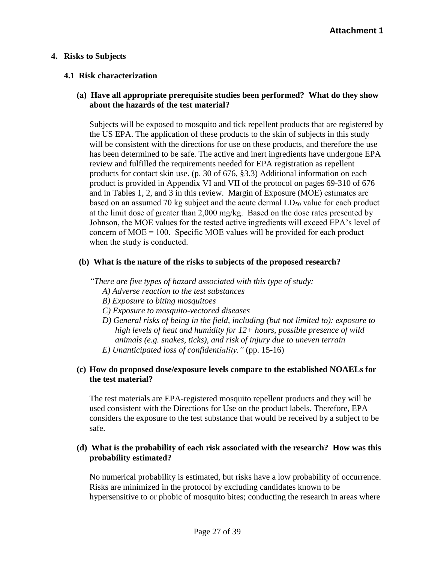## **4. Risks to Subjects**

## **4.1 Risk characterization**

**(a) Have all appropriate prerequisite studies been performed? What do they show about the hazards of the test material?**

Subjects will be exposed to mosquito and tick repellent products that are registered by the US EPA. The application of these products to the skin of subjects in this study will be consistent with the directions for use on these products, and therefore the use has been determined to be safe. The active and inert ingredients have undergone EPA review and fulfilled the requirements needed for EPA registration as repellent products for contact skin use. (p. 30 of 676, §3.3) Additional information on each product is provided in Appendix VI and VII of the protocol on pages 69-310 of 676 and in Tables 1, 2, and 3 in this review. Margin of Exposure (MOE) estimates are based on an assumed 70 kg subject and the acute dermal  $LD_{50}$  value for each product at the limit dose of greater than 2,000 mg/kg. Based on the dose rates presented by Johnson, the MOE values for the tested active ingredients will exceed EPA's level of concern of  $MOE = 100$ . Specific MOE values will be provided for each product when the study is conducted.

## **(b) What is the nature of the risks to subjects of the proposed research?**

*"There are five types of hazard associated with this type of study:*

- *A) Adverse reaction to the test substances*
- *B) Exposure to biting mosquitoes*
- *C) Exposure to mosquito-vectored diseases*
- *D) General risks of being in the field, including (but not limited to): exposure to high levels of heat and humidity for 12+ hours, possible presence of wild animals (e.g. snakes, ticks), and risk of injury due to uneven terrain*
- *E) Unanticipated loss of confidentiality."* (pp. 15-16)

## **(c) How do proposed dose/exposure levels compare to the established NOAELs for the test material?**

The test materials are EPA-registered mosquito repellent products and they will be used consistent with the Directions for Use on the product labels. Therefore, EPA considers the exposure to the test substance that would be received by a subject to be safe.

## **(d) What is the probability of each risk associated with the research? How was this probability estimated?**

No numerical probability is estimated, but risks have a low probability of occurrence. Risks are minimized in the protocol by excluding candidates known to be hypersensitive to or phobic of mosquito bites; conducting the research in areas where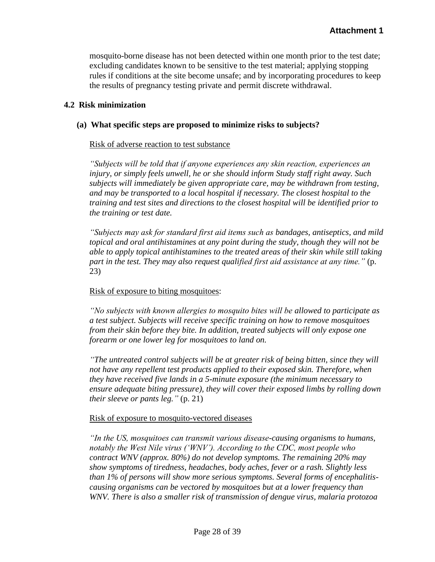mosquito-borne disease has not been detected within one month prior to the test date; excluding candidates known to be sensitive to the test material; applying stopping rules if conditions at the site become unsafe; and by incorporating procedures to keep the results of pregnancy testing private and permit discrete withdrawal.

### **4.2 Risk minimization**

## **(a) What specific steps are proposed to minimize risks to subjects?**

### Risk of adverse reaction to test substance

*"Subjects will be told that if anyone experiences any skin reaction, experiences an injury, or simply feels unwell, he or she should inform Study staff right away. Such subjects will immediately be given appropriate care, may be withdrawn from testing, and may be transported to a local hospital if necessary. The closest hospital to the training and test sites and directions to the closest hospital will be identified prior to the training or test date.* 

*"Subjects may ask for standard first aid items such as bandages, antiseptics, and mild topical and oral antihistamines at any point during the study, though they will not be able to apply topical antihistamines to the treated areas of their skin while still taking part in the test. They may also request qualified first aid assistance at any time."* (p. 23)

#### Risk of exposure to biting mosquitoes:

*"No subjects with known allergies to mosquito bites will be allowed to participate as a test subject. Subjects will receive specific training on how to remove mosquitoes from their skin before they bite. In addition, treated subjects will only expose one forearm or one lower leg for mosquitoes to land on.*

*"The untreated control subjects will be at greater risk of being bitten, since they will not have any repellent test products applied to their exposed skin. Therefore, when they have received five lands in a 5-minute exposure (the minimum necessary to ensure adequate biting pressure), they will cover their exposed limbs by rolling down their sleeve or pants leg."* (p. 21)

#### Risk of exposure to mosquito-vectored diseases

*"In the US, mosquitoes can transmit various disease-causing organisms to humans, notably the West Nile virus ('WNV'). According to the CDC, most people who contract WNV (approx. 80%) do not develop symptoms. The remaining 20% may show symptoms of tiredness, headaches, body aches, fever or a rash. Slightly less than 1% of persons will show more serious symptoms. Several forms of encephalitiscausing organisms can be vectored by mosquitoes but at a lower frequency than WNV. There is also a smaller risk of transmission of dengue virus, malaria protozoa*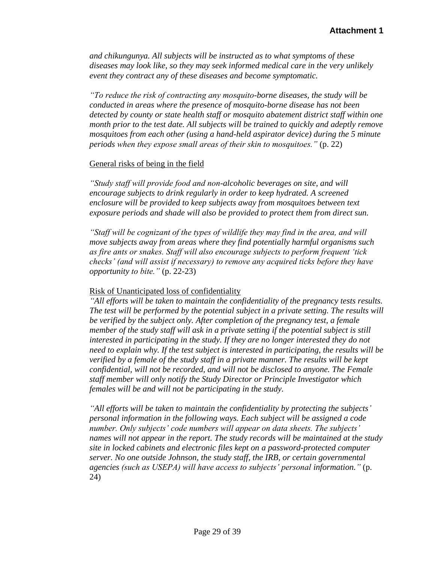*and chikungunya. All subjects will be instructed as to what symptoms of these diseases may look like, so they may seek informed medical care in the very unlikely event they contract any of these diseases and become symptomatic.*

*"To reduce the risk of contracting any mosquito-borne diseases, the study will be conducted in areas where the presence of mosquito-borne disease has not been detected by county or state health staff or mosquito abatement district staff within one month prior to the test date. All subjects will be trained to quickly and adeptly remove mosquitoes from each other (using a hand-held aspirator device) during the 5 minute periods when they expose small areas of their skin to mosquitoes."* (p. 22)

#### General risks of being in the field

*"Study staff will provide food and non-alcoholic beverages on site, and will encourage subjects to drink regularly in order to keep hydrated. A screened enclosure will be provided to keep subjects away from mosquitoes between text exposure periods and shade will also be provided to protect them from direct sun.*

*"Staff will be cognizant of the types of wildlife they may find in the area, and will move subjects away from areas where they find potentially harmful organisms such as fire ants or snakes. Staff will also encourage subjects to perform frequent 'tick checks' (and will assist if necessary) to remove any acquired ticks before they have opportunity to bite."* (p. 22-23)

#### Risk of Unanticipated loss of confidentiality

*"All efforts will be taken to maintain the confidentiality of the pregnancy tests results. The test will be performed by the potential subject in a private setting. The results will be verified by the subject only. After completion of the pregnancy test, a female member of the study staff will ask in a private setting if the potential subject is still interested in participating in the study. If they are no longer interested they do not need to explain why. If the test subject is interested in participating, the results will be verified by a female of the study staff in a private manner. The results will be kept confidential, will not be recorded, and will not be disclosed to anyone. The Female staff member will only notify the Study Director or Principle Investigator which females will be and will not be participating in the study.*

*"All efforts will be taken to maintain the confidentiality by protecting the subjects' personal information in the following ways. Each subject will be assigned a code number. Only subjects' code numbers will appear on data sheets. The subjects' names will not appear in the report. The study records will be maintained at the study site in locked cabinets and electronic files kept on a password-protected computer server. No one outside Johnson, the study staff, the IRB, or certain governmental agencies (such as USEPA) will have access to subjects' personal information."* (p. 24)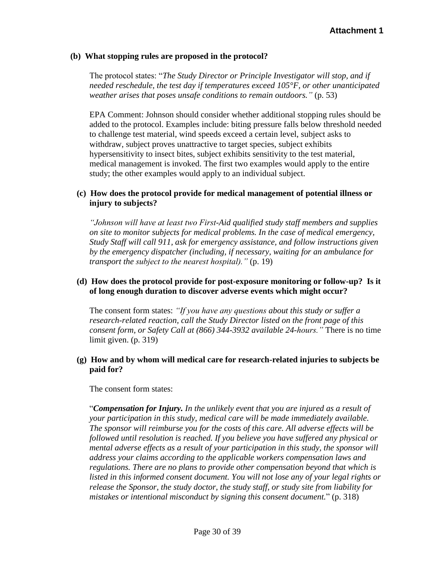#### **(b) What stopping rules are proposed in the protocol?**

The protocol states: "*The Study Director or Principle Investigator will stop, and if needed reschedule, the test day if temperatures exceed 105°F, or other unanticipated weather arises that poses unsafe conditions to remain outdoors."* (p. 53)

EPA Comment: Johnson should consider whether additional stopping rules should be added to the protocol. Examples include: biting pressure falls below threshold needed to challenge test material, wind speeds exceed a certain level, subject asks to withdraw, subject proves unattractive to target species, subject exhibits hypersensitivity to insect bites, subject exhibits sensitivity to the test material, medical management is invoked. The first two examples would apply to the entire study; the other examples would apply to an individual subject.

## **(c) How does the protocol provide for medical management of potential illness or injury to subjects?**

*"Johnson will have at least two First-Aid qualified study staff members and supplies on site to monitor subjects for medical problems. In the case of medical emergency, Study Staff will call 911, ask for emergency assistance, and follow instructions given by the emergency dispatcher (including, if necessary, waiting for an ambulance for transport the subject to the nearest hospital)."* (p. 19)

### **(d) How does the protocol provide for post-exposure monitoring or follow-up? Is it of long enough duration to discover adverse events which might occur?**

The consent form states: *"If you have any questions about this study or suffer a research-related reaction, call the Study Director listed on the front page of this consent form, or Safety Call at (866) 344-3932 available 24-hours."* There is no time limit given. (p. 319)

## **(g) How and by whom will medical care for research-related injuries to subjects be paid for?**

The consent form states:

"*Compensation for Injury. In the unlikely event that you are injured as a result of your participation in this study, medical care will be made immediately available. The sponsor will reimburse you for the costs of this care. All adverse effects will be followed until resolution is reached. If you believe you have suffered any physical or mental adverse effects as a result of your participation in this study, the sponsor will address your claims according to the applicable workers compensation laws and regulations. There are no plans to provide other compensation beyond that which is listed in this informed consent document. You will not lose any of your legal rights or release the Sponsor, the study doctor, the study staff, or study site from liability for mistakes or intentional misconduct by signing this consent document.*" (p. 318)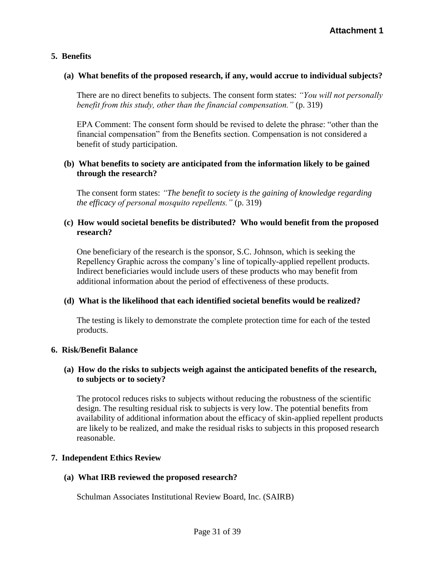## **5. Benefits**

#### **(a) What benefits of the proposed research, if any, would accrue to individual subjects?**

There are no direct benefits to subjects. The consent form states: *"You will not personally benefit from this study, other than the financial compensation."* (p. 319)

EPA Comment: The consent form should be revised to delete the phrase: "other than the financial compensation" from the Benefits section. Compensation is not considered a benefit of study participation.

## **(b) What benefits to society are anticipated from the information likely to be gained through the research?**

The consent form states: *"The benefit to society is the gaining of knowledge regarding the efficacy of personal mosquito repellents."* (p. 319)

## **(c) How would societal benefits be distributed? Who would benefit from the proposed research?**

One beneficiary of the research is the sponsor, S.C. Johnson, which is seeking the Repellency Graphic across the company's line of topically-applied repellent products. Indirect beneficiaries would include users of these products who may benefit from additional information about the period of effectiveness of these products.

#### **(d) What is the likelihood that each identified societal benefits would be realized?**

The testing is likely to demonstrate the complete protection time for each of the tested products.

#### **6. Risk/Benefit Balance**

## **(a) How do the risks to subjects weigh against the anticipated benefits of the research, to subjects or to society?**

The protocol reduces risks to subjects without reducing the robustness of the scientific design. The resulting residual risk to subjects is very low. The potential benefits from availability of additional information about the efficacy of skin-applied repellent products are likely to be realized, and make the residual risks to subjects in this proposed research reasonable.

## **7. Independent Ethics Review**

#### **(a) What IRB reviewed the proposed research?**

Schulman Associates Institutional Review Board, Inc. (SAIRB)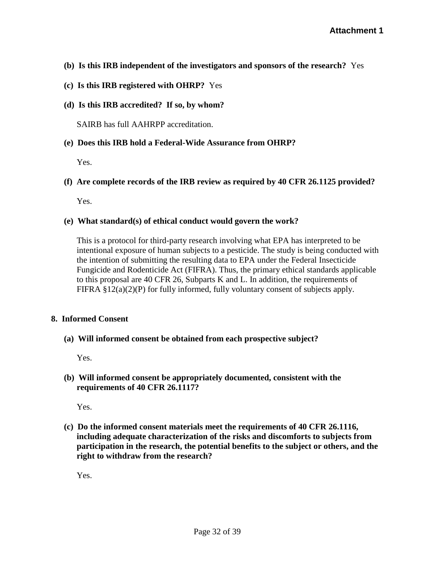- **(b) Is this IRB independent of the investigators and sponsors of the research?** Yes
- **(c) Is this IRB registered with OHRP?** Yes
- **(d) Is this IRB accredited? If so, by whom?**

SAIRB has full AAHRPP accreditation.

#### **(e) Does this IRB hold a Federal-Wide Assurance from OHRP?**

Yes.

**(f) Are complete records of the IRB review as required by 40 CFR 26.1125 provided?**

Yes.

#### **(e) What standard(s) of ethical conduct would govern the work?**

This is a protocol for third-party research involving what EPA has interpreted to be intentional exposure of human subjects to a pesticide. The study is being conducted with the intention of submitting the resulting data to EPA under the Federal Insecticide Fungicide and Rodenticide Act (FIFRA). Thus, the primary ethical standards applicable to this proposal are 40 CFR 26, Subparts K and L. In addition, the requirements of FIFRA  $\S 12(a)(2)(P)$  for fully informed, fully voluntary consent of subjects apply.

#### **8. Informed Consent**

**(a) Will informed consent be obtained from each prospective subject?**

Yes.

**(b) Will informed consent be appropriately documented, consistent with the requirements of 40 CFR 26.1117?** 

Yes.

**(c) Do the informed consent materials meet the requirements of 40 CFR 26.1116, including adequate characterization of the risks and discomforts to subjects from participation in the research, the potential benefits to the subject or others, and the right to withdraw from the research?**

Yes.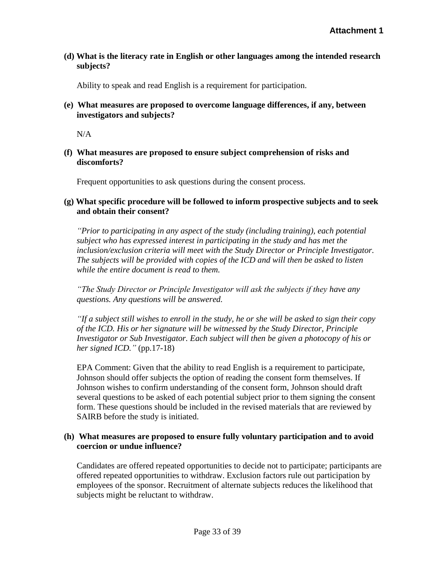## **(d) What is the literacy rate in English or other languages among the intended research subjects?**

Ability to speak and read English is a requirement for participation.

### **(e) What measures are proposed to overcome language differences, if any, between investigators and subjects?**

N/A

**(f) What measures are proposed to ensure subject comprehension of risks and discomforts?**

Frequent opportunities to ask questions during the consent process.

### **(g) What specific procedure will be followed to inform prospective subjects and to seek and obtain their consent?**

*"Prior to participating in any aspect of the study (including training), each potential subject who has expressed interest in participating in the study and has met the inclusion/exclusion criteria will meet with the Study Director or Principle Investigator. The subjects will be provided with copies of the ICD and will then be asked to listen while the entire document is read to them.* 

*"The Study Director or Principle Investigator will ask the subjects if they have any questions. Any questions will be answered.*

*"If a subject still wishes to enroll in the study, he or she will be asked to sign their copy of the ICD. His or her signature will be witnessed by the Study Director, Principle Investigator or Sub Investigator. Each subject will then be given a photocopy of his or her signed ICD."* (pp.17-18)

EPA Comment: Given that the ability to read English is a requirement to participate, Johnson should offer subjects the option of reading the consent form themselves. If Johnson wishes to confirm understanding of the consent form, Johnson should draft several questions to be asked of each potential subject prior to them signing the consent form. These questions should be included in the revised materials that are reviewed by SAIRB before the study is initiated.

## **(h) What measures are proposed to ensure fully voluntary participation and to avoid coercion or undue influence?**

Candidates are offered repeated opportunities to decide not to participate; participants are offered repeated opportunities to withdraw. Exclusion factors rule out participation by employees of the sponsor. Recruitment of alternate subjects reduces the likelihood that subjects might be reluctant to withdraw.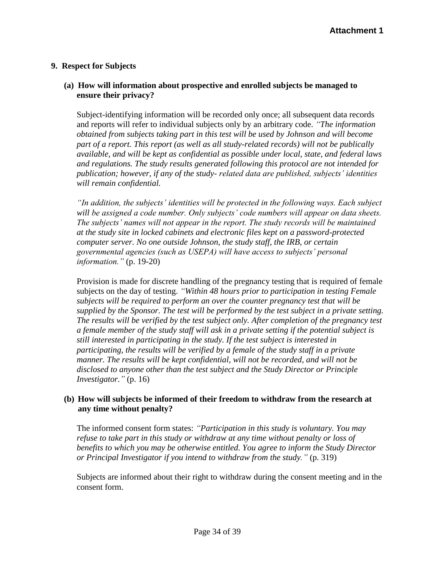## **9. Respect for Subjects**

## **(a) How will information about prospective and enrolled subjects be managed to ensure their privacy?**

Subject-identifying information will be recorded only once; all subsequent data records and reports will refer to individual subjects only by an arbitrary code. *"The information obtained from subjects taking part in this test will be used by Johnson and will become part of a report. This report (as well as all study-related records) will not be publically available, and will be kept as confidential as possible under local, state, and federal laws and regulations. The study results generated following this protocol are not intended for publication; however, if any of the study- related data are published, subjects' identities will remain confidential.*

*"In addition, the subjects' identities will be protected in the following ways. Each subject will be assigned a code number. Only subjects' code numbers will appear on data sheets. The subjects' names will not appear in the report. The study records will be maintained at the study site in locked cabinets and electronic files kept on a password-protected computer server. No one outside Johnson, the study staff, the IRB, or certain governmental agencies (such as USEPA) will have access to subjects' personal information."* (p. 19-20)

Provision is made for discrete handling of the pregnancy testing that is required of female subjects on the day of testing. *"Within 48 hours prior to participation in testing Female subjects will be required to perform an over the counter pregnancy test that will be supplied by the Sponsor. The test will be performed by the test subject in a private setting. The results will be verified by the test subject only. After completion of the pregnancy test a female member of the study staff will ask in a private setting if the potential subject is still interested in participating in the study. If the test subject is interested in participating, the results will be verified by a female of the study staff in a private manner. The results will be kept confidential, will not be recorded, and will not be disclosed to anyone other than the test subject and the Study Director or Principle Investigator."* (p. 16)

## **(b) How will subjects be informed of their freedom to withdraw from the research at any time without penalty?**

The informed consent form states: *"Participation in this study is voluntary. You may refuse to take part in this study or withdraw at any time without penalty or loss of benefits to which you may be otherwise entitled. You agree to inform the Study Director or Principal Investigator if you intend to withdraw from the study."* (p. 319)

Subjects are informed about their right to withdraw during the consent meeting and in the consent form.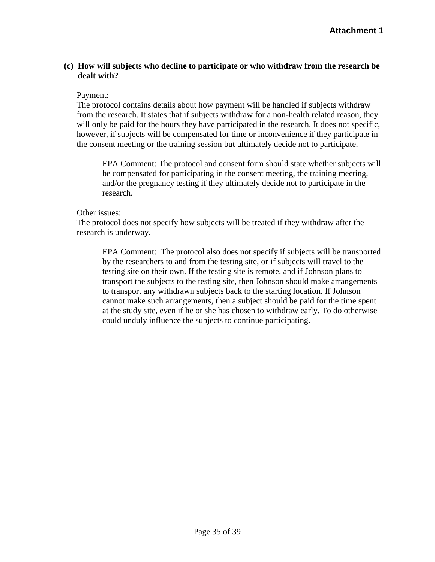## **(c) How will subjects who decline to participate or who withdraw from the research be dealt with?**

## Payment:

The protocol contains details about how payment will be handled if subjects withdraw from the research. It states that if subjects withdraw for a non-health related reason, they will only be paid for the hours they have participated in the research. It does not specific, however, if subjects will be compensated for time or inconvenience if they participate in the consent meeting or the training session but ultimately decide not to participate.

EPA Comment: The protocol and consent form should state whether subjects will be compensated for participating in the consent meeting, the training meeting, and/or the pregnancy testing if they ultimately decide not to participate in the research.

#### Other issues:

The protocol does not specify how subjects will be treated if they withdraw after the research is underway.

EPA Comment: The protocol also does not specify if subjects will be transported by the researchers to and from the testing site, or if subjects will travel to the testing site on their own. If the testing site is remote, and if Johnson plans to transport the subjects to the testing site, then Johnson should make arrangements to transport any withdrawn subjects back to the starting location. If Johnson cannot make such arrangements, then a subject should be paid for the time spent at the study site, even if he or she has chosen to withdraw early. To do otherwise could unduly influence the subjects to continue participating.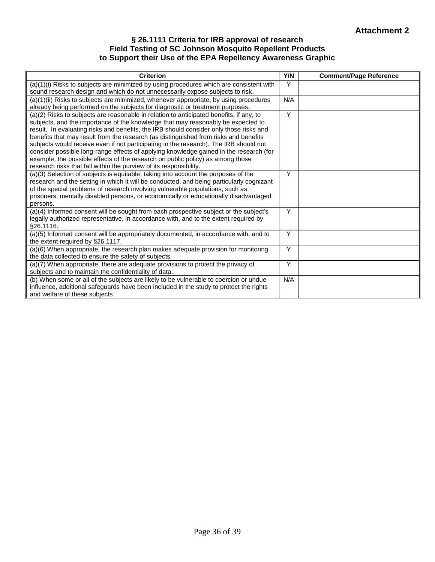#### **§ 26.1111 Criteria for IRB approval of research Field Testing of SC Johnson Mosquito Repellent Products to Support their Use of the EPA Repellency Awareness Graphic**

| Criterion                                                                                                                                                                                                                                                                                                                                                                                                                                                                                                                                                                                                                                                                                                | Y/N | <b>Comment/Page Reference</b> |
|----------------------------------------------------------------------------------------------------------------------------------------------------------------------------------------------------------------------------------------------------------------------------------------------------------------------------------------------------------------------------------------------------------------------------------------------------------------------------------------------------------------------------------------------------------------------------------------------------------------------------------------------------------------------------------------------------------|-----|-------------------------------|
| (a)(1)(i) Risks to subjects are minimized by using procedures which are consistent with<br>sound research design and which do not unnecessarily expose subjects to risk.                                                                                                                                                                                                                                                                                                                                                                                                                                                                                                                                 | Y   |                               |
| (a)(1)(ii) Risks to subjects are minimized, whenever appropriate, by using procedures<br>already being performed on the subjects for diagnostic or treatment purposes.                                                                                                                                                                                                                                                                                                                                                                                                                                                                                                                                   | N/A |                               |
| (a)(2) Risks to subjects are reasonable in relation to anticipated benefits, if any, to<br>subjects, and the importance of the knowledge that may reasonably be expected to<br>result. In evaluating risks and benefits, the IRB should consider only those risks and<br>benefits that may result from the research (as distinguished from risks and benefits<br>subjects would receive even if not participating in the research). The IRB should not<br>consider possible long-range effects of applying knowledge gained in the research (for<br>example, the possible effects of the research on public policy) as among those<br>research risks that fall within the purview of its responsibility. | Y   |                               |
| (a)(3) Selection of subjects is equitable, taking into account the purposes of the<br>research and the setting in which it will be conducted, and being particularly cognizant<br>of the special problems of research involving vulnerable populations, such as<br>prisoners, mentally disabled persons, or economically or educationally disadvantaged<br>persons.                                                                                                                                                                                                                                                                                                                                      | Y   |                               |
| (a)(4) Informed consent will be sought from each prospective subject or the subject's<br>legally authorized representative, in accordance with, and to the extent required by<br>§26.1116.                                                                                                                                                                                                                                                                                                                                                                                                                                                                                                               | Y   |                               |
| (a)(5) Informed consent will be appropriately documented, in accordance with, and to<br>the extent required by §26.1117.                                                                                                                                                                                                                                                                                                                                                                                                                                                                                                                                                                                 | Y   |                               |
| (a)(6) When appropriate, the research plan makes adequate provision for monitoring<br>the data collected to ensure the safety of subjects.                                                                                                                                                                                                                                                                                                                                                                                                                                                                                                                                                               | Y   |                               |
| (a)(7) When appropriate, there are adequate provisions to protect the privacy of<br>subjects and to maintain the confidentiality of data.                                                                                                                                                                                                                                                                                                                                                                                                                                                                                                                                                                | Y   |                               |
| (b) When some or all of the subjects are likely to be vulnerable to coercion or undue<br>influence, additional safeguards have been included in the study to protect the rights<br>and welfare of these subjects.                                                                                                                                                                                                                                                                                                                                                                                                                                                                                        | N/A |                               |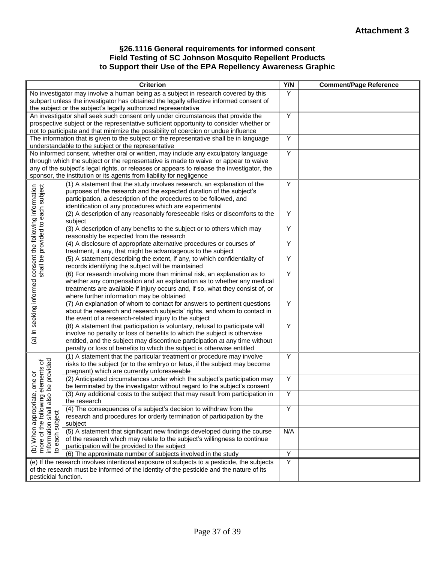#### **§26.1116 General requirements for informed consent Field Testing of SC Johnson Mosquito Repellent Products to Support their Use of the EPA Repellency Awareness Graphic**

| <b>Criterion</b>                                                                                                                                                                                                                                                    |                                                                                                                                                                                                                                                                                                                                                 |     | <b>Comment/Page Reference</b> |
|---------------------------------------------------------------------------------------------------------------------------------------------------------------------------------------------------------------------------------------------------------------------|-------------------------------------------------------------------------------------------------------------------------------------------------------------------------------------------------------------------------------------------------------------------------------------------------------------------------------------------------|-----|-------------------------------|
| No investigator may involve a human being as a subject in research covered by this<br>subpart unless the investigator has obtained the legally effective informed consent of<br>the subject or the subject's legally authorized representative                      |                                                                                                                                                                                                                                                                                                                                                 |     |                               |
| An investigator shall seek such consent only under circumstances that provide the<br>prospective subject or the representative sufficient opportunity to consider whether or<br>not to participate and that minimize the possibility of coercion or undue influence |                                                                                                                                                                                                                                                                                                                                                 |     |                               |
|                                                                                                                                                                                                                                                                     | The information that is given to the subject or the representative shall be in language<br>understandable to the subject or the representative                                                                                                                                                                                                  | Y   |                               |
|                                                                                                                                                                                                                                                                     | No informed consent, whether oral or written, may include any exculpatory language<br>through which the subject or the representative is made to waive or appear to waive<br>any of the subject's legal rights, or releases or appears to release the investigator, the<br>sponsor, the institution or its agents from liability for negligence | Y   |                               |
|                                                                                                                                                                                                                                                                     | (1) A statement that the study involves research, an explanation of the<br>purposes of the research and the expected duration of the subject's<br>participation, a description of the procedures to be followed, and<br>identification of any procedures which are experimental                                                                 | Y   |                               |
|                                                                                                                                                                                                                                                                     | (2) A description of any reasonably foreseeable risks or discomforts to the<br>subject                                                                                                                                                                                                                                                          | Y   |                               |
|                                                                                                                                                                                                                                                                     | (3) A description of any benefits to the subject or to others which may<br>reasonably be expected from the research                                                                                                                                                                                                                             | Υ   |                               |
|                                                                                                                                                                                                                                                                     | (4) A disclosure of appropriate alternative procedures or courses of<br>treatment, if any, that might be advantageous to the subject                                                                                                                                                                                                            | Y   |                               |
|                                                                                                                                                                                                                                                                     | (5) A statement describing the extent, if any, to which confidentiality of<br>records identifying the subject will be maintained                                                                                                                                                                                                                | Y   |                               |
| (a) In seeking informed consent the following information<br>shall be provided to each subject                                                                                                                                                                      | (6) For research involving more than minimal risk, an explanation as to<br>whether any compensation and an explanation as to whether any medical<br>treatments are available if injury occurs and, if so, what they consist of, or<br>where further information may be obtained                                                                 | Y   |                               |
|                                                                                                                                                                                                                                                                     | (7) An explanation of whom to contact for answers to pertinent questions<br>about the research and research subjects' rights, and whom to contact in<br>the event of a research-related injury to the subject                                                                                                                                   | Y   |                               |
|                                                                                                                                                                                                                                                                     | (8) A statement that participation is voluntary, refusal to participate will<br>involve no penalty or loss of benefits to which the subject is otherwise<br>entitled, and the subject may discontinue participation at any time without<br>penalty or loss of benefits to which the subject is otherwise entitled                               | Y   |                               |
|                                                                                                                                                                                                                                                                     | (1) A statement that the particular treatment or procedure may involve<br>risks to the subject (or to the embryo or fetus, if the subject may become<br>pregnant) which are currently unforeseeable                                                                                                                                             | Υ   |                               |
| be provided<br>elements of<br>(b) When appropriate, one or<br>more of the following elemen<br>$\circ$<br>$rac{5}{6}$                                                                                                                                                | (2) Anticipated circumstances under which the subject's participation may<br>be terminated by the investigator without regard to the subject's consent                                                                                                                                                                                          | Y   |                               |
|                                                                                                                                                                                                                                                                     | (3) Any additional costs to the subject that may result from participation in<br>the research                                                                                                                                                                                                                                                   | Υ   |                               |
|                                                                                                                                                                                                                                                                     | (4) The consequences of a subject's decision to withdraw from the<br>research and procedures for orderly termination of participation by the<br>subject                                                                                                                                                                                         | Y   |                               |
| information shall a<br>to each subject                                                                                                                                                                                                                              | (5) A statement that significant new findings developed during the course<br>of the research which may relate to the subject's willingness to continue<br>participation will be provided to the subject                                                                                                                                         | N/A |                               |
|                                                                                                                                                                                                                                                                     | (6) The approximate number of subjects involved in the study                                                                                                                                                                                                                                                                                    | Y   |                               |
| pesticidal function.                                                                                                                                                                                                                                                | (e) If the research involves intentional exposure of subjects to a pesticide, the subjects<br>of the research must be informed of the identity of the pesticide and the nature of its                                                                                                                                                           | Y   |                               |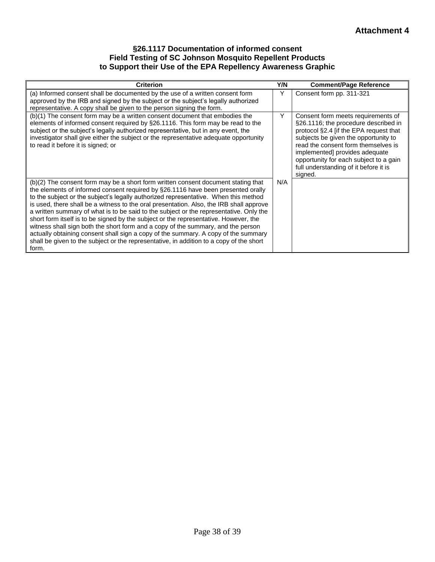#### **§26.1117 Documentation of informed consent Field Testing of SC Johnson Mosquito Repellent Products to Support their Use of the EPA Repellency Awareness Graphic**

| <b>Criterion</b>                                                                                                                                                                                                                                                                                                                                                                                                                                                                                                                                                                                                                                                                                                                                                                                                        | Y/N | <b>Comment/Page Reference</b>                                                                                                                                                                                                                                                                                                       |
|-------------------------------------------------------------------------------------------------------------------------------------------------------------------------------------------------------------------------------------------------------------------------------------------------------------------------------------------------------------------------------------------------------------------------------------------------------------------------------------------------------------------------------------------------------------------------------------------------------------------------------------------------------------------------------------------------------------------------------------------------------------------------------------------------------------------------|-----|-------------------------------------------------------------------------------------------------------------------------------------------------------------------------------------------------------------------------------------------------------------------------------------------------------------------------------------|
| (a) Informed consent shall be documented by the use of a written consent form<br>approved by the IRB and signed by the subject or the subject's legally authorized<br>representative. A copy shall be given to the person signing the form.                                                                                                                                                                                                                                                                                                                                                                                                                                                                                                                                                                             |     | Consent form pp. 311-321                                                                                                                                                                                                                                                                                                            |
| (b)(1) The consent form may be a written consent document that embodies the<br>elements of informed consent required by §26.1116. This form may be read to the<br>subject or the subject's legally authorized representative, but in any event, the<br>investigator shall give either the subject or the representative adequate opportunity<br>to read it before it is signed; or                                                                                                                                                                                                                                                                                                                                                                                                                                      | Y   | Consent form meets requirements of<br>§26.1116; the procedure described in<br>protocol §2.4 [if the EPA request that<br>subjects be given the opportunity to<br>read the consent form themselves is<br>implemented] provides adequate<br>opportunity for each subject to a gain<br>full understanding of it before it is<br>signed. |
| (b)(2) The consent form may be a short form written consent document stating that<br>the elements of informed consent required by §26.1116 have been presented orally<br>to the subject or the subject's legally authorized representative. When this method<br>is used, there shall be a witness to the oral presentation. Also, the IRB shall approve<br>a written summary of what is to be said to the subject or the representative. Only the<br>short form itself is to be signed by the subject or the representative. However, the<br>witness shall sign both the short form and a copy of the summary, and the person<br>actually obtaining consent shall sign a copy of the summary. A copy of the summary<br>shall be given to the subject or the representative, in addition to a copy of the short<br>form. | N/A |                                                                                                                                                                                                                                                                                                                                     |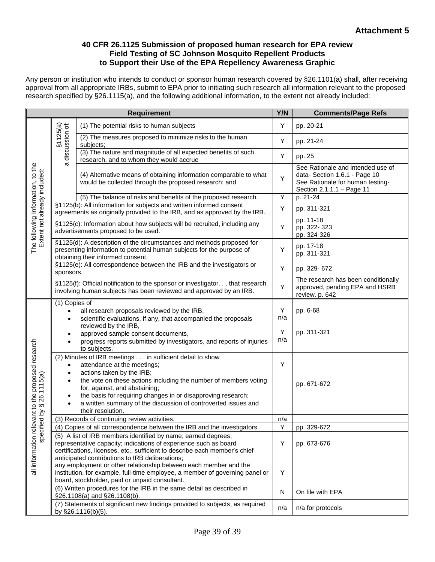#### **40 CFR 26.1125 Submission of proposed human research for EPA review Field Testing of SC Johnson Mosquito Repellent Products to Support their Use of the EPA Repellency Awareness Graphic**

Any person or institution who intends to conduct or sponsor human research covered by §26.1101(a) shall, after receiving approval from all appropriate IRBs, submit to EPA prior to initiating such research all information relevant to the proposed research specified by §26.1115(a), and the following additional information, to the extent not already included:

| <b>Requirement</b>                                                |                                                                                                                                                                                                                                                                                                                                                                                                                                                                          |                                                                                                                                                                                                                                                                                                                                                                                  | Y/N                  | <b>Comments/Page Refs</b>                                                                                                          |
|-------------------------------------------------------------------|--------------------------------------------------------------------------------------------------------------------------------------------------------------------------------------------------------------------------------------------------------------------------------------------------------------------------------------------------------------------------------------------------------------------------------------------------------------------------|----------------------------------------------------------------------------------------------------------------------------------------------------------------------------------------------------------------------------------------------------------------------------------------------------------------------------------------------------------------------------------|----------------------|------------------------------------------------------------------------------------------------------------------------------------|
| The following Information, to the<br>Extent not already included: |                                                                                                                                                                                                                                                                                                                                                                                                                                                                          | (1) The potential risks to human subjects                                                                                                                                                                                                                                                                                                                                        | Υ                    | pp. 20-21                                                                                                                          |
|                                                                   | §1125(a)                                                                                                                                                                                                                                                                                                                                                                                                                                                                 | (2) The measures proposed to minimize risks to the human<br>subjects;                                                                                                                                                                                                                                                                                                            | Υ                    | pp. 21-24                                                                                                                          |
|                                                                   | a discussion of:                                                                                                                                                                                                                                                                                                                                                                                                                                                         | (3) The nature and magnitude of all expected benefits of such<br>research, and to whom they would accrue                                                                                                                                                                                                                                                                         | Y                    | pp. 25                                                                                                                             |
|                                                                   |                                                                                                                                                                                                                                                                                                                                                                                                                                                                          | (4) Alternative means of obtaining information comparable to what<br>would be collected through the proposed research; and                                                                                                                                                                                                                                                       | Y                    | See Rationale and intended use of<br>data-Section 1.6.1 - Page 10<br>See Rationale for human testing-<br>Section 2.1.1.1 - Page 11 |
|                                                                   |                                                                                                                                                                                                                                                                                                                                                                                                                                                                          | (5) The balance of risks and benefits of the proposed research.                                                                                                                                                                                                                                                                                                                  | Υ                    | p. 21-24                                                                                                                           |
|                                                                   |                                                                                                                                                                                                                                                                                                                                                                                                                                                                          | §1125(b): All information for subjects and written informed consent<br>agreements as originally provided to the IRB, and as approved by the IRB.                                                                                                                                                                                                                                 | Υ                    | pp. 311-321                                                                                                                        |
|                                                                   | §1125(c): Information about how subjects will be recruited, including any<br>advertisements proposed to be used.                                                                                                                                                                                                                                                                                                                                                         |                                                                                                                                                                                                                                                                                                                                                                                  | Υ                    | pp. 11-18<br>pp. 322-323<br>pp. 324-326                                                                                            |
|                                                                   |                                                                                                                                                                                                                                                                                                                                                                                                                                                                          | §1125(d): A description of the circumstances and methods proposed for<br>presenting information to potential human subjects for the purpose of<br>obtaining their informed consent.                                                                                                                                                                                              | Υ                    | pp. 17-18<br>pp. 311-321                                                                                                           |
|                                                                   | sponsors.                                                                                                                                                                                                                                                                                                                                                                                                                                                                | §1125(e): All correspondence between the IRB and the investigators or                                                                                                                                                                                                                                                                                                            | Y                    | pp. 329-672                                                                                                                        |
|                                                                   | §1125(f): Official notification to the sponsor or investigator. that research<br>involving human subjects has been reviewed and approved by an IRB.                                                                                                                                                                                                                                                                                                                      |                                                                                                                                                                                                                                                                                                                                                                                  | Y                    | The research has been conditionally<br>approved, pending EPA and HSRB<br>review. p. 642                                            |
| all information relevant to the proposed research<br>\$26.1115(a) | (1) Copies of<br>$\bullet$<br>$\bullet$<br>$\bullet$                                                                                                                                                                                                                                                                                                                                                                                                                     | all research proposals reviewed by the IRB,<br>scientific evaluations, if any, that accompanied the proposals<br>reviewed by the IRB,<br>approved sample consent documents,<br>progress reports submitted by investigators, and reports of injuries<br>to subjects.                                                                                                              | Υ<br>n/a<br>Υ<br>n/a | pp. 6-68<br>pp. 311-321                                                                                                            |
|                                                                   | $\bullet$<br>$\bullet$                                                                                                                                                                                                                                                                                                                                                                                                                                                   | (2) Minutes of IRB meetings in sufficient detail to show<br>attendance at the meetings;<br>actions taken by the IRB;<br>the vote on these actions including the number of members voting<br>for, against, and abstaining;<br>the basis for requiring changes in or disapproving research;<br>a written summary of the discussion of controverted issues and<br>their resolution. | Υ                    | pp. 671-672                                                                                                                        |
| ied by                                                            |                                                                                                                                                                                                                                                                                                                                                                                                                                                                          | (3) Records of continuing review activities.                                                                                                                                                                                                                                                                                                                                     | n/a                  |                                                                                                                                    |
|                                                                   | (4) Copies of all correspondence between the IRB and the investigators.                                                                                                                                                                                                                                                                                                                                                                                                  |                                                                                                                                                                                                                                                                                                                                                                                  | Y                    | pp. 329-672                                                                                                                        |
| specifi                                                           | (5) A list of IRB members identified by name; earned degrees;<br>representative capacity; indications of experience such as board<br>certifications, licenses, etc., sufficient to describe each member's chief<br>anticipated contributions to IRB deliberations;<br>any employment or other relationship between each member and the<br>institution, for example, full-time employee, a member of governing panel or<br>board, stockholder, paid or unpaid consultant. |                                                                                                                                                                                                                                                                                                                                                                                  | Υ<br>Y               | pp. 673-676                                                                                                                        |
|                                                                   |                                                                                                                                                                                                                                                                                                                                                                                                                                                                          | (6) Written procedures for the IRB in the same detail as described in<br>§26.1108(a) and §26.1108(b).                                                                                                                                                                                                                                                                            | N                    | On file with EPA                                                                                                                   |
|                                                                   |                                                                                                                                                                                                                                                                                                                                                                                                                                                                          | (7) Statements of significant new findings provided to subjects, as required<br>by §26.1116(b)(5).                                                                                                                                                                                                                                                                               | n/a                  | n/a for protocols                                                                                                                  |